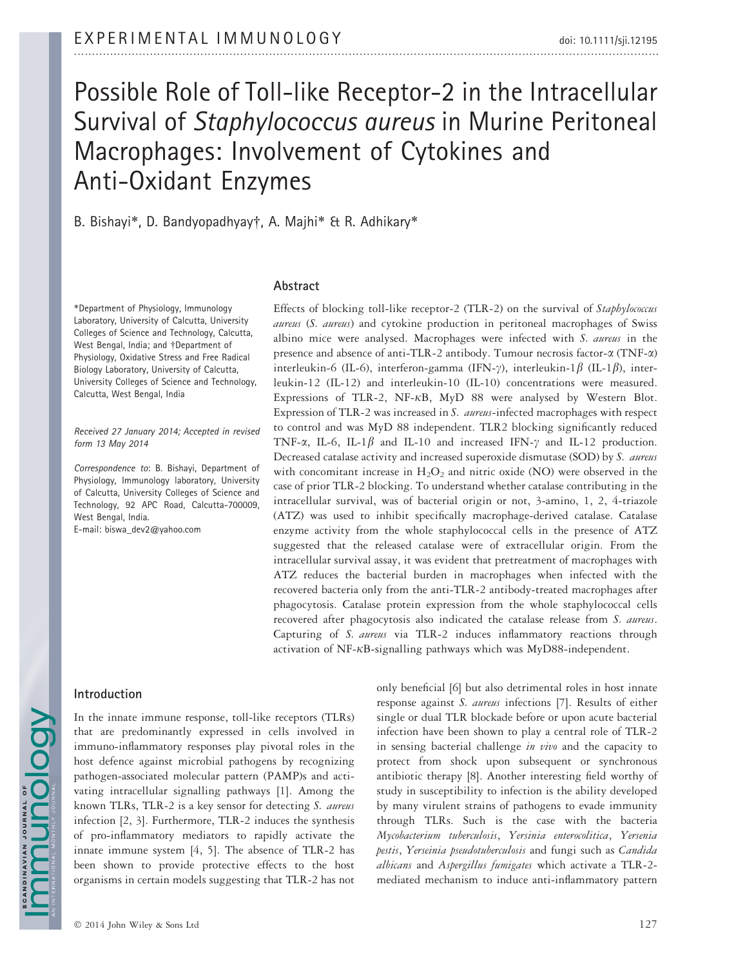# Possible Role of Toll-like Receptor-2 in the Intracellular Survival of Staphylococcus aureus in Murine Peritoneal Macrophages: Involvement of Cytokines and Anti-Oxidant Enzymes

B. Bishayi\*, D. Bandyopadhyay†, A. Majhi\* & R. Adhikary\*

\*Department of Physiology, Immunology Laboratory, University of Calcutta, University Colleges of Science and Technology, Calcutta, West Bengal, India; and †Department of Physiology, Oxidative Stress and Free Radical Biology Laboratory, University of Calcutta, University Colleges of Science and Technology, Calcutta, West Bengal, India

Received 27 January 2014; Accepted in revised form 13 May 2014

Correspondence to: B. Bishayi, Department of Physiology, Immunology laboratory, University of Calcutta, University Colleges of Science and Technology, 92 APC Road, Calcutta-700009, West Bengal, India.

E-mail: biswa\_dev2@yahoo.com

## Abstract

Effects of blocking toll-like receptor-2 (TLR-2) on the survival of Staphylococcus aureus (S. aureus) and cytokine production in peritoneal macrophages of Swiss albino mice were analysed. Macrophages were infected with S. aureus in the presence and absence of anti-TLR-2 antibody. Tumour necrosis factor-a (TNF-a) interleukin-6 (IL-6), interferon-gamma (IFN- $\gamma$ ), interleukin-1 $\beta$  (IL-1 $\beta$ ), interleukin-12 (IL-12) and interleukin-10 (IL-10) concentrations were measured. Expressions of TLR-2, NF- $\kappa$ B, MyD 88 were analysed by Western Blot. Expression of TLR-2 was increased in S. aureus-infected macrophages with respect to control and was MyD 88 independent. TLR2 blocking significantly reduced TNF- $\alpha$ , IL-6, IL-1 $\beta$  and IL-10 and increased IFN- $\gamma$  and IL-12 production. Decreased catalase activity and increased superoxide dismutase (SOD) by S. aureus with concomitant increase in  $H_2O_2$  and nitric oxide (NO) were observed in the case of prior TLR-2 blocking. To understand whether catalase contributing in the intracellular survival, was of bacterial origin or not, 3-amino, 1, 2, 4-triazole (ATZ) was used to inhibit specifically macrophage-derived catalase. Catalase enzyme activity from the whole staphylococcal cells in the presence of ATZ suggested that the released catalase were of extracellular origin. From the intracellular survival assay, it was evident that pretreatment of macrophages with ATZ reduces the bacterial burden in macrophages when infected with the recovered bacteria only from the anti-TLR-2 antibody-treated macrophages after phagocytosis. Catalase protein expression from the whole staphylococcal cells recovered after phagocytosis also indicated the catalase release from S. aureus. Capturing of S. aureus via TLR-2 induces inflammatory reactions through activation of NF- $\kappa$ B-signalling pathways which was MyD88-independent.

# Introduction

**NDOIQUE** 

In the innate immune response, toll-like receptors (TLRs) that are predominantly expressed in cells involved in immuno-inflammatory responses play pivotal roles in the host defence against microbial pathogens by recognizing pathogen-associated molecular pattern (PAMP)s and activating intracellular signalling pathways [1]. Among the known TLRs, TLR-2 is a key sensor for detecting S. aureus infection [2, 3]. Furthermore, TLR-2 induces the synthesis of pro-inflammatory mediators to rapidly activate the innate immune system [4, 5]. The absence of TLR-2 has been shown to provide protective effects to the host organisms in certain models suggesting that TLR-2 has not

response against S. aureus infections [7]. Results of either single or dual TLR blockade before or upon acute bacterial infection have been shown to play a central role of TLR-2 in sensing bacterial challenge in vivo and the capacity to protect from shock upon subsequent or synchronous antibiotic therapy [8]. Another interesting field worthy of study in susceptibility to infection is the ability developed by many virulent strains of pathogens to evade immunity through TLRs. Such is the case with the bacteria Mycobacterium tuberculosis, Yersinia enterocolitica, Yersenia pestis, Yerseinia pseudotuberculosis and fungi such as Candida albicans and Aspergillus fumigates which activate a TLR-2 mediated mechanism to induce anti-inflammatory pattern

only beneficial [6] but also detrimental roles in host innate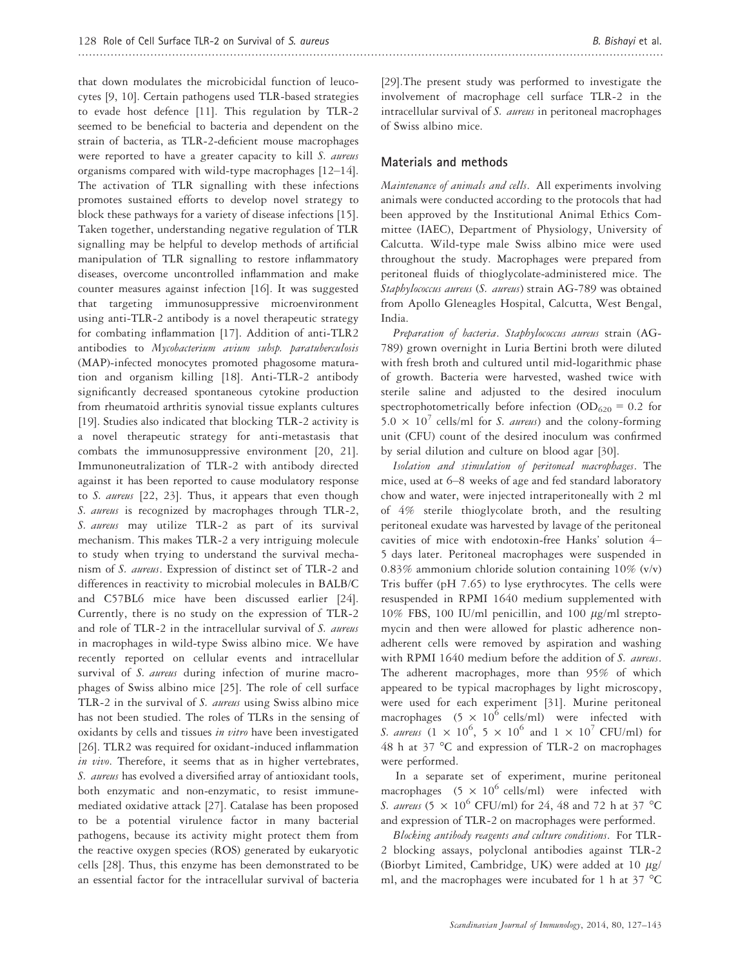that down modulates the microbicidal function of leucocytes [9, 10]. Certain pathogens used TLR-based strategies to evade host defence [11]. This regulation by TLR-2 seemed to be beneficial to bacteria and dependent on the strain of bacteria, as TLR-2-deficient mouse macrophages were reported to have a greater capacity to kill S. aureus organisms compared with wild-type macrophages [12–14]. The activation of TLR signalling with these infections promotes sustained efforts to develop novel strategy to block these pathways for a variety of disease infections [15]. Taken together, understanding negative regulation of TLR signalling may be helpful to develop methods of artificial manipulation of TLR signalling to restore inflammatory diseases, overcome uncontrolled inflammation and make counter measures against infection [16]. It was suggested that targeting immunosuppressive microenvironment using anti-TLR-2 antibody is a novel therapeutic strategy for combating inflammation [17]. Addition of anti-TLR2 antibodies to Mycobacterium avium subsp. paratuberculosis (MAP)-infected monocytes promoted phagosome maturation and organism killing [18]. Anti-TLR-2 antibody significantly decreased spontaneous cytokine production from rheumatoid arthritis synovial tissue explants cultures [19]. Studies also indicated that blocking TLR-2 activity is a novel therapeutic strategy for anti-metastasis that combats the immunosuppressive environment [20, 21]. Immunoneutralization of TLR-2 with antibody directed against it has been reported to cause modulatory response to S. aureus [22, 23]. Thus, it appears that even though S. aureus is recognized by macrophages through TLR-2, S. aureus may utilize TLR-2 as part of its survival mechanism. This makes TLR-2 a very intriguing molecule to study when trying to understand the survival mechanism of S. aureus. Expression of distinct set of TLR-2 and differences in reactivity to microbial molecules in BALB/C and C57BL6 mice have been discussed earlier [24]. Currently, there is no study on the expression of TLR-2 and role of TLR-2 in the intracellular survival of S. aureus in macrophages in wild-type Swiss albino mice. We have recently reported on cellular events and intracellular survival of S. aureus during infection of murine macrophages of Swiss albino mice [25]. The role of cell surface TLR-2 in the survival of S. aureus using Swiss albino mice has not been studied. The roles of TLRs in the sensing of oxidants by cells and tissues in vitro have been investigated [26]. TLR2 was required for oxidant-induced inflammation in vivo. Therefore, it seems that as in higher vertebrates, S. *aureus* has evolved a diversified array of antioxidant tools, both enzymatic and non-enzymatic, to resist immunemediated oxidative attack [27]. Catalase has been proposed to be a potential virulence factor in many bacterial pathogens, because its activity might protect them from the reactive oxygen species (ROS) generated by eukaryotic cells [28]. Thus, this enzyme has been demonstrated to be an essential factor for the intracellular survival of bacteria [29].The present study was performed to investigate the involvement of macrophage cell surface TLR-2 in the intracellular survival of S. aureus in peritoneal macrophages of Swiss albino mice.

#### Materials and methods

Maintenance of animals and cells. All experiments involving animals were conducted according to the protocols that had been approved by the Institutional Animal Ethics Committee (IAEC), Department of Physiology, University of Calcutta. Wild-type male Swiss albino mice were used throughout the study. Macrophages were prepared from peritoneal fluids of thioglycolate-administered mice. The Staphylococcus aureus (S. aureus) strain AG-789 was obtained from Apollo Gleneagles Hospital, Calcutta, West Bengal, India.

Preparation of bacteria. Staphylococcus aureus strain (AG-789) grown overnight in Luria Bertini broth were diluted with fresh broth and cultured until mid-logarithmic phase of growth. Bacteria were harvested, washed twice with sterile saline and adjusted to the desired inoculum spectrophotometrically before infection ( $OD_{620} = 0.2$  for  $5.0 \times 10^7$  cells/ml for S. aureus) and the colony-forming unit (CFU) count of the desired inoculum was confirmed by serial dilution and culture on blood agar [30].

Isolation and stimulation of peritoneal macrophages. The mice, used at 6–8 weeks of age and fed standard laboratory chow and water, were injected intraperitoneally with 2 ml of 4% sterile thioglycolate broth, and the resulting peritoneal exudate was harvested by lavage of the peritoneal cavities of mice with endotoxin-free Hanks' solution 4– 5 days later. Peritoneal macrophages were suspended in 0.83% ammonium chloride solution containing 10% (v/v) Tris buffer (pH 7.65) to lyse erythrocytes. The cells were resuspended in RPMI 1640 medium supplemented with 10% FBS, 100 IU/ml penicillin, and 100  $\mu$ g/ml streptomycin and then were allowed for plastic adherence nonadherent cells were removed by aspiration and washing with RPMI 1640 medium before the addition of S. aureus. The adherent macrophages, more than 95% of which appeared to be typical macrophages by light microscopy, were used for each experiment [31]. Murine peritoneal macrophages  $(5 \times 10^6 \text{ cells/ml})$  were infected with S. aureus  $(1 \times 10^6, 5 \times 10^6 \text{ and } 1 \times 10^7 \text{ CFU/ml})$  for 48 h at 37 °C and expression of TLR-2 on macrophages were performed.

In a separate set of experiment, murine peritoneal macrophages  $(5 \times 10^6 \text{ cells/ml})$  were infected with S. aureus (5  $\times$  10<sup>6</sup> CFU/ml) for 24, 48 and 72 h at 37 °C and expression of TLR-2 on macrophages were performed.

Blocking antibody reagents and culture conditions. For TLR-2 blocking assays, polyclonal antibodies against TLR-2 (Biorbyt Limited, Cambridge, UK) were added at 10  $\mu$ g/ ml, and the macrophages were incubated for 1 h at 37 °C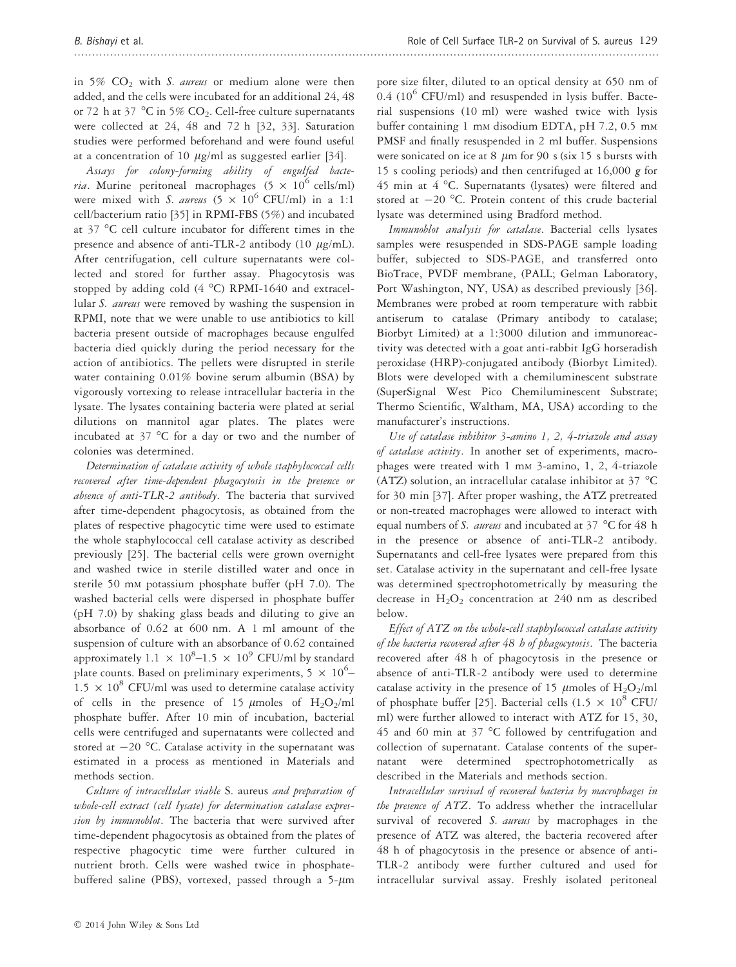in 5%  $CO<sub>2</sub>$  with S. aureus or medium alone were then added, and the cells were incubated for an additional 24, 48 or 72 h at 37  $\degree$ C in 5% CO<sub>2</sub>. Cell-free culture supernatants were collected at 24, 48 and 72 h [32, 33]. Saturation studies were performed beforehand and were found useful at a concentration of 10  $\mu$ g/ml as suggested earlier [34].

Assays for colony-forming ability of engulfed bacte*ria*. Murine peritoneal macrophages (5  $\times$  10<sup>6</sup> cells/ml) were mixed with S. aureus  $(5 \times 10^6 \text{ CFU/ml})$  in a 1:1 cell/bacterium ratio [35] in RPMI-FBS (5%) and incubated at 37 °C cell culture incubator for different times in the presence and absence of anti-TLR-2 antibody (10  $\mu$ g/mL). After centrifugation, cell culture supernatants were collected and stored for further assay. Phagocytosis was stopped by adding cold (4 °C) RPMI-1640 and extracellular S. aureus were removed by washing the suspension in RPMI, note that we were unable to use antibiotics to kill bacteria present outside of macrophages because engulfed bacteria died quickly during the period necessary for the action of antibiotics. The pellets were disrupted in sterile water containing 0.01% bovine serum albumin (BSA) by vigorously vortexing to release intracellular bacteria in the lysate. The lysates containing bacteria were plated at serial dilutions on mannitol agar plates. The plates were incubated at 37 °C for a day or two and the number of colonies was determined.

Determination of catalase activity of whole staphylococcal cells recovered after time-dependent phagocytosis in the presence or absence of anti-TLR-2 antibody. The bacteria that survived after time-dependent phagocytosis, as obtained from the plates of respective phagocytic time were used to estimate the whole staphylococcal cell catalase activity as described previously [25]. The bacterial cells were grown overnight and washed twice in sterile distilled water and once in sterile 50 m<sup>M</sup> potassium phosphate buffer (pH 7.0). The washed bacterial cells were dispersed in phosphate buffer (pH 7.0) by shaking glass beads and diluting to give an absorbance of 0.62 at 600 nm. A 1 ml amount of the suspension of culture with an absorbance of 0.62 contained approximately 1.1  $\times$  10<sup>8</sup>-1.5  $\times$  10<sup>9</sup> CFU/ml by standard plate counts. Based on preliminary experiments,  $5 \times 10^6$ - $1.5 \times 10^8$  CFU/ml was used to determine catalase activity of cells in the presence of 15  $\mu$ moles of H<sub>2</sub>O<sub>2</sub>/ml phosphate buffer. After 10 min of incubation, bacterial cells were centrifuged and supernatants were collected and stored at  $-20$  °C. Catalase activity in the supernatant was estimated in a process as mentioned in Materials and methods section.

Culture of intracellular viable S. aureus and preparation of whole-cell extract (cell lysate) for determination catalase expression by immunoblot. The bacteria that were survived after time-dependent phagocytosis as obtained from the plates of respective phagocytic time were further cultured in nutrient broth. Cells were washed twice in phosphatebuffered saline (PBS), vortexed, passed through a  $5-\mu m$ 

pore size filter, diluted to an optical density at 650 nm of  $0.4$  (10<sup>6</sup> CFU/ml) and resuspended in lysis buffer. Bacterial suspensions (10 ml) were washed twice with lysis buffer containing 1 mm disodium EDTA, pH 7.2, 0.5 mm PMSF and finally resuspended in 2 ml buffer. Suspensions were sonicated on ice at 8  $\mu$ m for 90 s (six 15 s bursts with 15 s cooling periods) and then centrifuged at 16,000 g for 45 min at 4 °C. Supernatants (lysates) were filtered and stored at  $-20$  °C. Protein content of this crude bacterial lysate was determined using Bradford method.

Immunoblot analysis for catalase. Bacterial cells lysates samples were resuspended in SDS-PAGE sample loading buffer, subjected to SDS-PAGE, and transferred onto BioTrace, PVDF membrane, (PALL; Gelman Laboratory, Port Washington, NY, USA) as described previously [36]. Membranes were probed at room temperature with rabbit antiserum to catalase (Primary antibody to catalase; Biorbyt Limited) at a 1:3000 dilution and immunoreactivity was detected with a goat anti-rabbit IgG horseradish peroxidase (HRP)-conjugated antibody (Biorbyt Limited). Blots were developed with a chemiluminescent substrate (SuperSignal West Pico Chemiluminescent Substrate; Thermo Scientific, Waltham, MA, USA) according to the manufacturer's instructions.

Use of catalase inhibitor 3-amino 1, 2, 4-triazole and assay of catalase activity. In another set of experiments, macrophages were treated with 1 m<sup>M</sup> 3-amino, 1, 2, 4-triazole (ATZ) solution, an intracellular catalase inhibitor at 37 °C for 30 min [37]. After proper washing, the ATZ pretreated or non-treated macrophages were allowed to interact with equal numbers of S. aureus and incubated at  $37 °C$  for 48 h in the presence or absence of anti-TLR-2 antibody. Supernatants and cell-free lysates were prepared from this set. Catalase activity in the supernatant and cell-free lysate was determined spectrophotometrically by measuring the decrease in  $H_2O_2$  concentration at 240 nm as described below.

Effect of ATZ on the whole-cell staphylococcal catalase activity of the bacteria recovered after 48 h of phagocytosis. The bacteria recovered after 48 h of phagocytosis in the presence or absence of anti-TLR-2 antibody were used to determine catalase activity in the presence of 15  $\mu$ moles of H<sub>2</sub>O<sub>2</sub>/ml of phosphate buffer [25]. Bacterial cells (1.5  $\times$  10<sup>8</sup> CFU/ ml) were further allowed to interact with ATZ for 15, 30, 45 and 60 min at 37 °C followed by centrifugation and collection of supernatant. Catalase contents of the supernatant were determined spectrophotometrically as described in the Materials and methods section.

Intracellular survival of recovered bacteria by macrophages in the presence of ATZ. To address whether the intracellular survival of recovered S. aureus by macrophages in the presence of ATZ was altered, the bacteria recovered after 48 h of phagocytosis in the presence or absence of anti-TLR-2 antibody were further cultured and used for intracellular survival assay. Freshly isolated peritoneal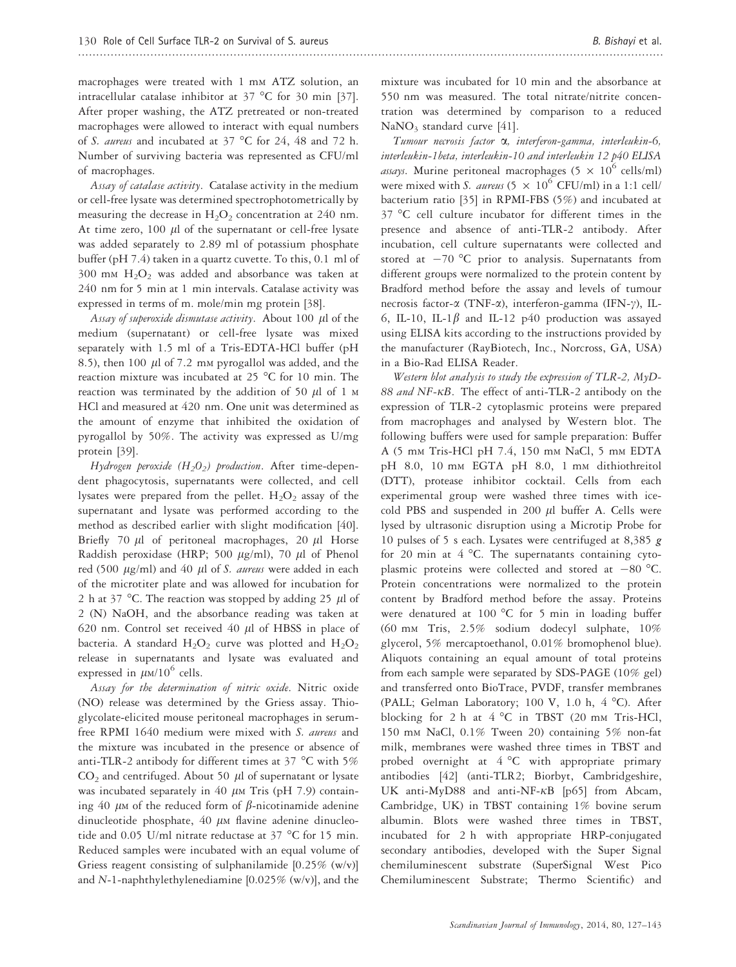macrophages were treated with 1 mm ATZ solution, an intracellular catalase inhibitor at 37 °C for 30 min [37]. After proper washing, the ATZ pretreated or non-treated macrophages were allowed to interact with equal numbers of S. aureus and incubated at 37 °C for 24, 48 and 72 h. Number of surviving bacteria was represented as CFU/ml of macrophages.

Assay of catalase activity. Catalase activity in the medium or cell-free lysate was determined spectrophotometrically by measuring the decrease in  $H_2O_2$  concentration at 240 nm. At time zero,  $100 \mu l$  of the supernatant or cell-free lysate was added separately to 2.89 ml of potassium phosphate buffer (pH 7.4) taken in a quartz cuvette. To this, 0.1 ml of  $300$  mM  $H<sub>2</sub>O<sub>2</sub>$  was added and absorbance was taken at 240 nm for 5 min at 1 min intervals. Catalase activity was expressed in terms of m. mole/min mg protein [38].

Assay of superoxide dismutase activity. About 100  $\mu$ l of the medium (supernatant) or cell-free lysate was mixed separately with 1.5 ml of a Tris-EDTA-HCl buffer (pH 8.5), then 100  $\mu$ l of 7.2 mM pyrogallol was added, and the reaction mixture was incubated at 25 °C for 10 min. The reaction was terminated by the addition of 50  $\mu$ l of 1 M HCl and measured at 420 nm. One unit was determined as the amount of enzyme that inhibited the oxidation of pyrogallol by 50%. The activity was expressed as U/mg protein [39].

Hydrogen peroxide (H<sub>2</sub>O<sub>2</sub>) production. After time-dependent phagocytosis, supernatants were collected, and cell lysates were prepared from the pellet.  $H_2O_2$  assay of the supernatant and lysate was performed according to the method as described earlier with slight modification [40]. Briefly 70  $\mu$ l of peritoneal macrophages, 20  $\mu$ l Horse Raddish peroxidase (HRP; 500  $\mu$ g/ml), 70  $\mu$ l of Phenol red (500  $\mu$ g/ml) and 40  $\mu$ l of *S. aureus* were added in each of the microtiter plate and was allowed for incubation for 2 h at 37 °C. The reaction was stopped by adding 25  $\mu$ l of 2 (N) NaOH, and the absorbance reading was taken at 620 nm. Control set received 40  $\mu$ l of HBSS in place of bacteria. A standard  $H_2O_2$  curve was plotted and  $H_2O_2$ release in supernatants and lysate was evaluated and expressed in  $\mu$ M/10<sup>6</sup> cells.

Assay for the determination of nitric oxide. Nitric oxide (NO) release was determined by the Griess assay. Thioglycolate-elicited mouse peritoneal macrophages in serumfree RPMI 1640 medium were mixed with S. aureus and the mixture was incubated in the presence or absence of anti-TLR-2 antibody for different times at 37 °C with 5%  $CO<sub>2</sub>$  and centrifuged. About 50  $\mu$ l of supernatant or lysate was incubated separately in 40  $\mu$ M Tris (pH 7.9) containing 40  $\mu$ M of the reduced form of  $\beta$ -nicotinamide adenine dinucleotide phosphate,  $40 \mu$ M flavine adenine dinucleotide and 0.05 U/ml nitrate reductase at 37 °C for 15 min. Reduced samples were incubated with an equal volume of Griess reagent consisting of sulphanilamide [0.25% (w/v)] and N-1-naphthylethylenediamine  $[0.025\%$  (w/v)], and the mixture was incubated for 10 min and the absorbance at 550 nm was measured. The total nitrate/nitrite concentration was determined by comparison to a reduced NaNO<sub>3</sub> standard curve [41].

Tumour necrosis factor  $\alpha$ , interferon-gamma, interleukin-6, interleukin-1beta, interleukin-10 and interleukin 12 p40 ELISA *assays*. Murine peritoneal macrophages (5  $\times$  10<sup>6</sup> cells/ml) were mixed with S. aureus  $(5 \times 10^6 \text{ CFU/ml})$  in a 1:1 cell/ bacterium ratio [35] in RPMI-FBS (5%) and incubated at 37 °C cell culture incubator for different times in the presence and absence of anti-TLR-2 antibody. After incubation, cell culture supernatants were collected and stored at  $-70$  °C prior to analysis. Supernatants from different groups were normalized to the protein content by Bradford method before the assay and levels of tumour necrosis factor- $\alpha$  (TNF- $\alpha$ ), interferon-gamma (IFN- $\gamma$ ), IL-6, IL-10, IL-1 $\beta$  and IL-12 p40 production was assayed using ELISA kits according to the instructions provided by the manufacturer (RayBiotech, Inc., Norcross, GA, USA) in a Bio-Rad ELISA Reader.

Western blot analysis to study the expression of TLR-2, MyD-88 and NF-KB. The effect of anti-TLR-2 antibody on the expression of TLR-2 cytoplasmic proteins were prepared from macrophages and analysed by Western blot. The following buffers were used for sample preparation: Buffer A (5 m<sup>M</sup> Tris-HCl pH 7.4, 150 m<sup>M</sup> NaCl, 5 m<sup>M</sup> EDTA pH 8.0, 10 mm EGTA pH 8.0, 1 mm dithiothreitol (DTT), protease inhibitor cocktail. Cells from each experimental group were washed three times with icecold PBS and suspended in 200  $\mu$ l buffer A. Cells were lysed by ultrasonic disruption using a Microtip Probe for 10 pulses of 5 s each. Lysates were centrifuged at 8,385  $g$ for 20 min at  $4^{\circ}$ C. The supernatants containing cytoplasmic proteins were collected and stored at  $-80$  °C. Protein concentrations were normalized to the protein content by Bradford method before the assay. Proteins were denatured at 100 °C for 5 min in loading buffer (60 m<sup>M</sup> Tris, 2.5% sodium dodecyl sulphate, 10% glycerol, 5% mercaptoethanol, 0.01% bromophenol blue). Aliquots containing an equal amount of total proteins from each sample were separated by SDS-PAGE (10% gel) and transferred onto BioTrace, PVDF, transfer membranes (PALL; Gelman Laboratory; 100 V, 1.0 h, 4 °C). After blocking for 2 h at  $4^{\circ}$ C in TBST (20 mm Tris-HCl, 150 m<sup>M</sup> NaCl, 0.1% Tween 20) containing 5% non-fat milk, membranes were washed three times in TBST and probed overnight at 4 °C with appropriate primary antibodies [42] (anti-TLR2; Biorbyt, Cambridgeshire, UK anti-MyD88 and anti-NF- $\kappa$ B [p65] from Abcam, Cambridge, UK) in TBST containing 1% bovine serum albumin. Blots were washed three times in TBST, incubated for 2 h with appropriate HRP-conjugated secondary antibodies, developed with the Super Signal chemiluminescent substrate (SuperSignal West Pico Chemiluminescent Substrate; Thermo Scientific) and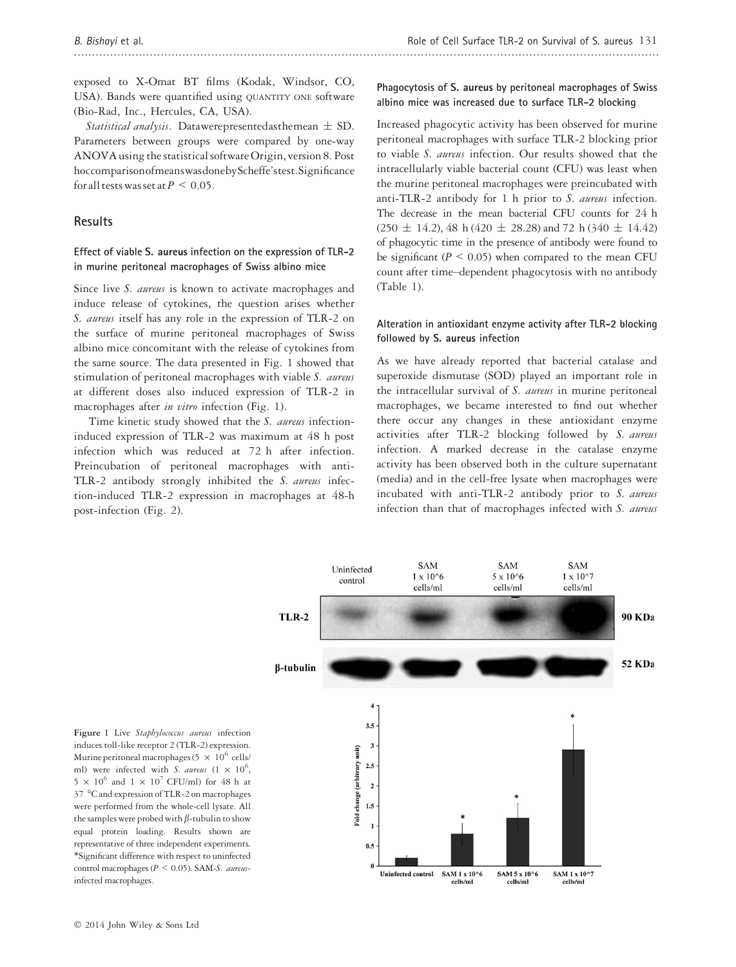exposed to X-Omat BT films (Kodak, Windsor, CO, USA). Bands were quantified using QUANTITY ONE software (Bio-Rad, Inc., Hercules, CA, USA).

Statistical analysis. Datawerepresentedasthemean  $\pm$  SD. Parameters between groups were compared by one-way ANOVA using the statistical software Origin, version 8. Post hoccomparisonofmeanswasdonebyScheffe'stest.Significance for all tests was set at  $P \leq 0.05$ .

## Results

#### Effect of viable S. aureus infection on the expression of TLR-2 in murine peritoneal macrophages of Swiss albino mice

Since live S. aureus is known to activate macrophages and induce release of cytokines, the question arises whether S. *aureus* itself has any role in the expression of TLR-2 on the surface of murine peritoneal macrophages of Swiss albino mice concomitant with the release of cytokines from the same source. The data presented in Fig. 1 showed that stimulation of peritoneal macrophages with viable S. aureus at different doses also induced expression of TLR-2 in macrophages after in vitro infection (Fig. 1).

Time kinetic study showed that the S. aureus infectioninduced expression of TLR-2 was maximum at 48 h post infection which was reduced at 72 h after infection. Preincubation of peritoneal macrophages with anti-TLR-2 antibody strongly inhibited the S. aureus infection-induced TLR-2 expression in macrophages at 48-h post-infection (Fig. 2).

## Phagocytosis of S. aureus by peritoneal macrophages of Swiss albino mice was increased due to surface TLR-2 blocking

Increased phagocytic activity has been observed for murine peritoneal macrophages with surface TLR-2 blocking prior to viable S. aureus infection. Our results showed that the intracellularly viable bacterial count (CFU) was least when the murine peritoneal macrophages were preincubated with anti-TLR-2 antibody for 1 h prior to S. aureus infection. The decrease in the mean bacterial CFU counts for 24 h  $(250 \pm 14.2), 48 \text{ h} (420 \pm 28.28)$  and 72 h  $(340 \pm 14.42)$ of phagocytic time in the presence of antibody were found to be significant ( $P \le 0.05$ ) when compared to the mean CFU count after time–dependent phagocytosis with no antibody (Table 1).

## Alteration in antioxidant enzyme activity after TLR-2 blocking followed by S. aureus infection

As we have already reported that bacterial catalase and superoxide dismutase (SOD) played an important role in the intracellular survival of S. aureus in murine peritoneal macrophages, we became interested to find out whether there occur any changes in these antioxidant enzyme activities after TLR-2 blocking followed by S. aureus infection. A marked decrease in the catalase enzyme activity has been observed both in the culture supernatant (media) and in the cell-free lysate when macrophages were incubated with anti-TLR-2 antibody prior to S. aureus infection than that of macrophages infected with S. aureus



Figure 1 Live Staphylococcus aureus infection induces toll-like receptor 2 (TLR-2) expression. Murine peritoneal macrophages (5  $\times$   $10^6$  cells/ ml) were infected with *S. aureus*  $(1 \times 10^6,$  $5 \times 10^6$  and  $1 \times 10^7$  CFU/ml) for 48 h at 37 °C and expression of TLR-2 on macrophages were performed from the whole-cell lysate. All the samples were probed with  $\beta$ -tubulin to show equal protein loading. Results shown are representative of three independent experiments. \*Significant difference with respect to uninfected control macrophages ( $P < 0.05$ ). SAM-S. aureusinfected macrophages.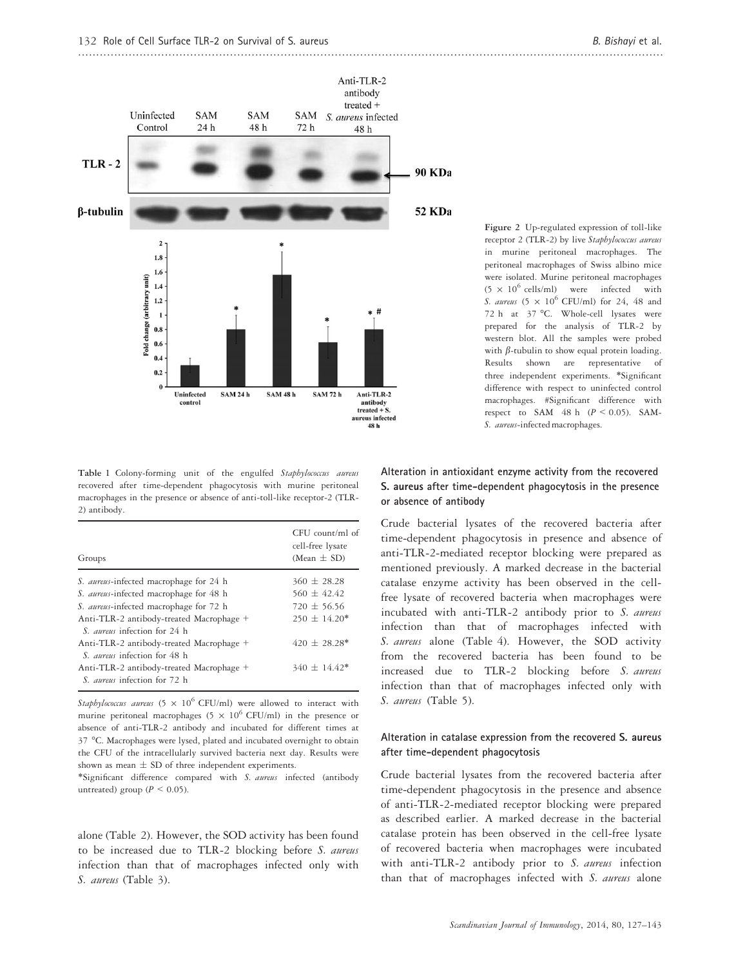

Table 1 Colony-forming unit of the engulfed Staphylococcus aureus recovered after time-dependent phagocytosis with murine peritoneal macrophages in the presence or absence of anti-toll-like receptor-2 (TLR-2) antibody.

| Groups                                                                          | $CFU$ count/ml of<br>cell-free lysate<br>$(Mean \pm SD)$ |
|---------------------------------------------------------------------------------|----------------------------------------------------------|
| S. aureus-infected macrophage for 24 h                                          | $360 \pm 28.28$                                          |
| S. aureus-infected macrophage for 48 h                                          | $560 + 42.42$                                            |
| S. aureus-infected macrophage for 72 h                                          | $720 + 56.56$                                            |
| Anti-TLR-2 antibody-treated Macrophage +<br>S. <i>aureus</i> infection for 24 h | $250 + 14.20*$                                           |
| Anti-TLR-2 antibody-treated Macrophage +<br>S. <i>aureus</i> infection for 48 h | $420 + 28.28*$                                           |
| Anti-TLR-2 antibody-treated Macrophage +<br>S. <i>aureus</i> infection for 72 h | $340 \pm 14.42*$                                         |

Staphylococcus aureus (5  $\times$  10<sup>6</sup> CFU/ml) were allowed to interact with murine peritoneal macrophages (5  $\times$  10<sup>6</sup> CFU/ml) in the presence or absence of anti-TLR-2 antibody and incubated for different times at 37 °C. Macrophages were lysed, plated and incubated overnight to obtain the CFU of the intracellularly survived bacteria next day. Results were shown as mean  $\pm$  SD of three independent experiments.

\*Significant difference compared with S. aureus infected (antibody untreated) group ( $P \leq 0.05$ ).

alone (Table 2). However, the SOD activity has been found to be increased due to TLR-2 blocking before S. aureus infection than that of macrophages infected only with S. aureus (Table 3).

Figure 2 Up-regulated expression of toll-like receptor 2 (TLR-2) by live Staphylococcus aureus in murine peritoneal macrophages. The peritoneal macrophages of Swiss albino mice were isolated. Murine peritoneal macrophages  $(5 \times 10^6 \text{ cells/ml})$  were infected with S. aureus  $(5 \times 10^6 \text{ CFU/ml})$  for 24, 48 and 72 h at 37 °C. Whole-cell lysates were prepared for the analysis of TLR-2 by western blot. All the samples were probed with  $\beta$ -tubulin to show equal protein loading. Results shown are representative of three independent experiments. \*Significant difference with respect to uninfected control macrophages. #Significant difference with respect to SAM  $48$  h ( $P \le 0.05$ ). SAM-S. aureus-infected macrophages.

## Alteration in antioxidant enzyme activity from the recovered S. aureus after time-dependent phagocytosis in the presence or absence of antibody

Crude bacterial lysates of the recovered bacteria after time-dependent phagocytosis in presence and absence of anti-TLR-2-mediated receptor blocking were prepared as mentioned previously. A marked decrease in the bacterial catalase enzyme activity has been observed in the cellfree lysate of recovered bacteria when macrophages were incubated with anti-TLR-2 antibody prior to S. aureus infection than that of macrophages infected with S. aureus alone (Table 4). However, the SOD activity from the recovered bacteria has been found to be increased due to TLR-2 blocking before S. aureus infection than that of macrophages infected only with S. aureus (Table 5).

#### Alteration in catalase expression from the recovered S. aureus after time-dependent phagocytosis

Crude bacterial lysates from the recovered bacteria after time-dependent phagocytosis in the presence and absence of anti-TLR-2-mediated receptor blocking were prepared as described earlier. A marked decrease in the bacterial catalase protein has been observed in the cell-free lysate of recovered bacteria when macrophages were incubated with anti-TLR-2 antibody prior to S. aureus infection than that of macrophages infected with S. aureus alone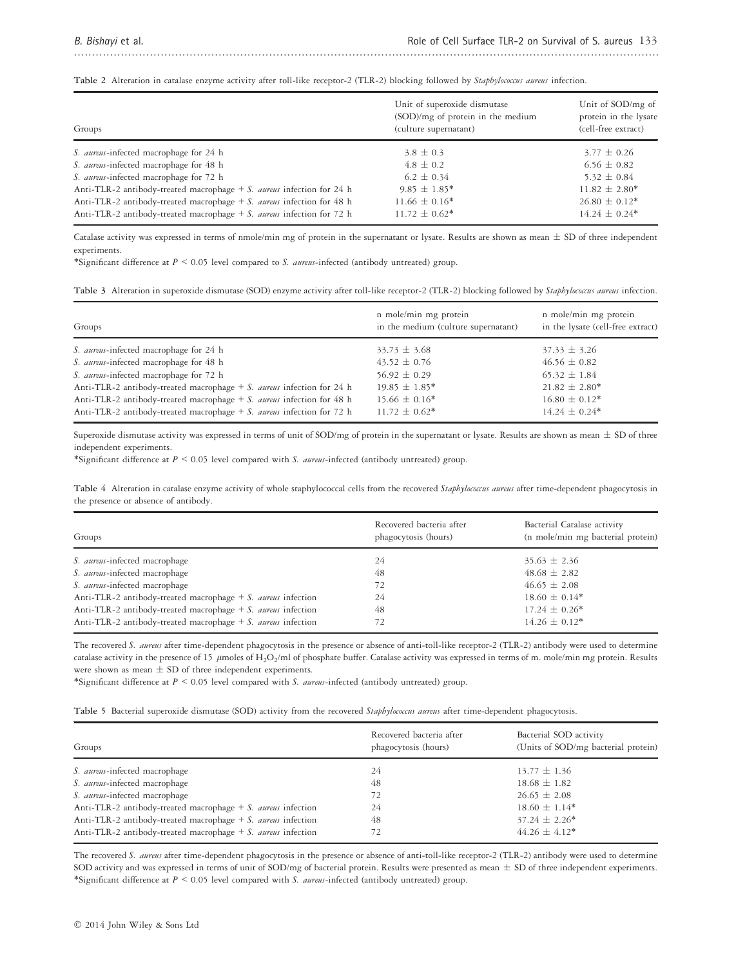Table 2 Alteration in catalase enzyme activity after toll-like receptor-2 (TLR-2) blocking followed by Staphylococcus aureus infection.

| Groups                                                                   | Unit of superoxide dismutase<br>(SOD)/mg of protein in the medium<br>(culture supernatant) | Unit of SOD/mg of<br>protein in the lysate<br>(cell-free extract) |
|--------------------------------------------------------------------------|--------------------------------------------------------------------------------------------|-------------------------------------------------------------------|
| S. <i>aureus</i> -infected macrophage for 24 h                           | $3.8 \pm 0.3$                                                                              | $3.77 \pm 0.26$                                                   |
| S. aureus-infected macrophage for 48 h                                   | $4.8 \pm 0.2$                                                                              | $6.56 \pm 0.82$                                                   |
| S. aureus-infected macrophage for 72 h                                   | $6.2 \pm 0.34$                                                                             | $5.32 \pm 0.84$                                                   |
| Anti-TLR-2 antibody-treated macrophage + S. aureus infection for 24 h    | $9.85 \pm 1.85^*$                                                                          | $11.82 \pm 2.80^*$                                                |
| Anti-TLR-2 antibody-treated macrophage $+ S$ . aureus infection for 48 h | $11.66 \pm 0.16*$                                                                          | $26.80 \pm 0.12^*$                                                |
| Anti-TLR-2 antibody-treated macrophage $+ S$ . aureus infection for 72 h | $11.72 \pm 0.62^*$                                                                         | $14.24 \pm 0.24$ <sup>*</sup>                                     |

..................................................................................................................................................................

Catalase activity was expressed in terms of nmole/min mg of protein in the supernatant or lysate. Results are shown as mean  $\pm$  SD of three independent experiments.

\*Significant difference at  $P \le 0.05$  level compared to S. aureus-infected (antibody untreated) group.

|  |  |  |  |  |  | Table 3 Alteration in superoxide dismutase (SOD) enzyme activity after toll-like receptor-2 (TLR-2) blocking followed by Staphylococcus aureus infection. |
|--|--|--|--|--|--|-----------------------------------------------------------------------------------------------------------------------------------------------------------|
|--|--|--|--|--|--|-----------------------------------------------------------------------------------------------------------------------------------------------------------|

| Groups                                                                   | n mole/min mg protein<br>in the medium (culture supernatant) | n mole/min mg protein<br>in the lysate (cell-free extract) |
|--------------------------------------------------------------------------|--------------------------------------------------------------|------------------------------------------------------------|
| S. <i>aureus</i> -infected macrophage for 24 h                           | $33.73 \pm 3.68$                                             | $37.33 \pm 3.26$                                           |
| S. aureus-infected macrophage for 48 h                                   | $43.52 \pm 0.76$                                             | $46.56 \pm 0.82$                                           |
| S. aureus-infected macrophage for 72 h                                   | $56.92 \pm 0.29$                                             | $65.32 \pm 1.84$                                           |
| Anti-TLR-2 antibody-treated macrophage $+ S$ . aureus infection for 24 h | $19.85 \pm 1.85^*$                                           | $21.82 \pm 2.80^*$                                         |
| Anti-TLR-2 antibody-treated macrophage $+ S$ . aureus infection for 48 h | $15.66 \pm 0.16*$                                            | $16.80 \pm 0.12$ *                                         |
| Anti-TLR-2 antibody-treated macrophage $+ S$ . aureus infection for 72 h | $11.72 \pm 0.62$ *                                           | $14.24 \pm 0.24$ <sup>*</sup>                              |

Superoxide dismutase activity was expressed in terms of unit of SOD/mg of protein in the supernatant or lysate. Results are shown as mean  $\pm$  SD of three independent experiments.

\*Significant difference at  $P < 0.05$  level compared with S. aureus-infected (antibody untreated) group.

Table 4 Alteration in catalase enzyme activity of whole staphylococcal cells from the recovered Staphylococcus aureus after time-dependent phagocytosis in the presence or absence of antibody.

| Groups                                                          | Recovered bacteria after<br>phagocytosis (hours) | Bacterial Catalase activity<br>(n mole/min mg bacterial protein) |
|-----------------------------------------------------------------|--------------------------------------------------|------------------------------------------------------------------|
| S. aureus-infected macrophage                                   | 24                                               | $35.63 \pm 2.36$                                                 |
| S. aureus-infected macrophage                                   | 48                                               | $48.68 \pm 2.82$                                                 |
| S. aureus-infected macrophage                                   | 72                                               | $46.65 \pm 2.08$                                                 |
| Anti-TLR-2 antibody-treated macrophage $+ S$ . aureus infection | 24                                               | $18.60 \pm 0.14*$                                                |
| Anti-TLR-2 antibody-treated macrophage $+ S$ . aureus infection | 48                                               | $17.24 \pm 0.26^*$                                               |
| Anti-TLR-2 antibody-treated macrophage $+ S$ . aureus infection |                                                  | $14.26 \pm 0.12^*$                                               |

The recovered S. aureus after time-dependent phagocytosis in the presence or absence of anti-toll-like receptor-2 (TLR-2) antibody were used to determine catalase activity in the presence of 15  $\,\rm\mu m$ oles of H<sub>2</sub>O<sub>2</sub>/ml of phosphate buffer. Catalase activity was expressed in terms of m. mole/min mg protein. Results were shown as mean  $\pm$  SD of three independent experiments.

\*Significant difference at  $P \le 0.05$  level compared with S. aureus-infected (antibody untreated) group.

Table 5 Bacterial superoxide dismutase (SOD) activity from the recovered Staphylococcus aureus after time-dependent phagocytosis.

| Groups                                                                 | Recovered bacteria after<br>phagocytosis (hours) | Bacterial SOD activity<br>(Units of SOD/mg bacterial protein) |
|------------------------------------------------------------------------|--------------------------------------------------|---------------------------------------------------------------|
| S. aureus-infected macrophage                                          | 24                                               | $13.77 \pm 1.36$                                              |
| S. aureus-infected macrophage                                          | 48                                               | $18.68 \pm 1.82$                                              |
| S. aureus-infected macrophage                                          | 72                                               | $26.65 \pm 2.08$                                              |
| Anti-TLR-2 antibody-treated macrophage $+ S$ . aureus infection        | 24                                               | $18.60 \pm 1.14*$                                             |
| Anti-TLR-2 antibody-treated macrophage $+ S$ . aureus infection        | 48                                               | $37.24 \pm 2.26^*$                                            |
| Anti-TLR-2 antibody-treated macrophage $+ S$ . <i>aureus</i> infection | 72                                               | $44.26 \pm 4.12^*$                                            |

The recovered S. aureus after time-dependent phagocytosis in the presence or absence of anti-toll-like receptor-2 (TLR-2) antibody were used to determine SOD activity and was expressed in terms of unit of SOD/mg of bacterial protein. Results were presented as mean  $\pm$  SD of three independent experiments. \*Significant difference at  $P < 0.05$  level compared with S. aureus-infected (antibody untreated) group.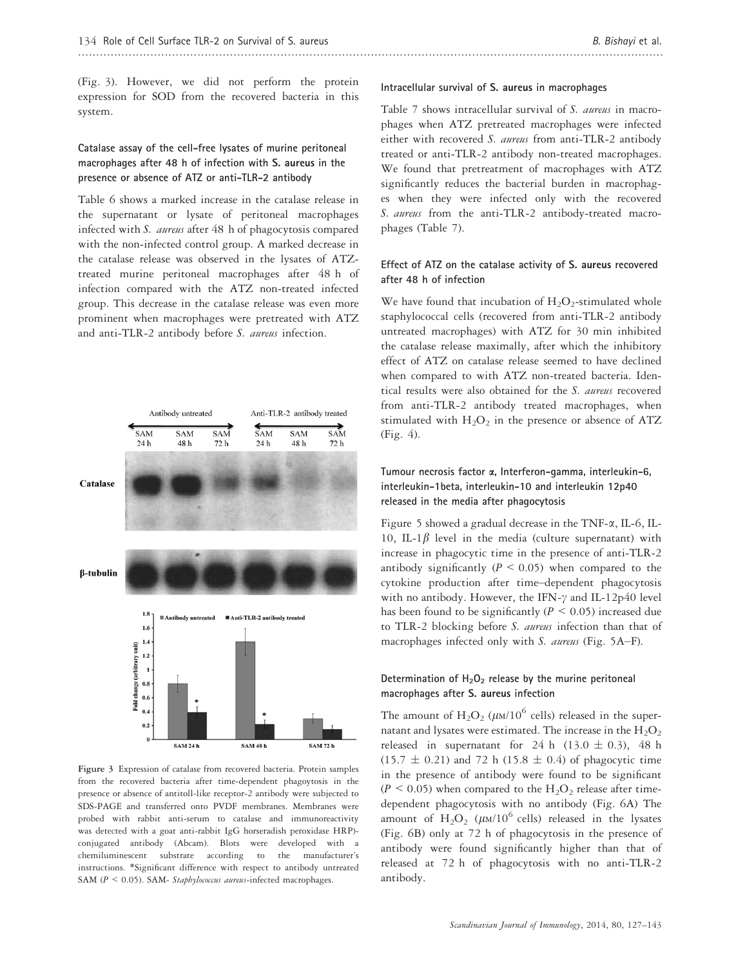(Fig. 3). However, we did not perform the protein expression for SOD from the recovered bacteria in this system.

# Catalase assay of the cell-free lysates of murine peritoneal macrophages after 48 h of infection with S. aureus in the presence or absence of ATZ or anti-TLR-2 antibody

Table 6 shows a marked increase in the catalase release in the supernatant or lysate of peritoneal macrophages infected with S. aureus after 48 h of phagocytosis compared with the non-infected control group. A marked decrease in the catalase release was observed in the lysates of ATZtreated murine peritoneal macrophages after 48 h of infection compared with the ATZ non-treated infected group. This decrease in the catalase release was even more prominent when macrophages were pretreated with ATZ and anti-TLR-2 antibody before S. aureus infection.



Figure 3 Expression of catalase from recovered bacteria. Protein samples from the recovered bacteria after time-dependent phagoytosis in the presence or absence of antitoll-like receptor-2 antibody were subjected to SDS-PAGE and transferred onto PVDF membranes. Membranes were probed with rabbit anti-serum to catalase and immunoreactivity was detected with a goat anti-rabbit IgG horseradish peroxidase HRP) conjugated antibody (Abcam). Blots were developed with a chemiluminescent substrate according to the manufacturer's instructions. \*Significant difference with respect to antibody untreated SAM ( $P < 0.05$ ). SAM- Staphylococcus aureus-infected macrophages.

## Intracellular survival of S. aureus in macrophages

Table 7 shows intracellular survival of S. *aureus* in macrophages when ATZ pretreated macrophages were infected either with recovered S. aureus from anti-TLR-2 antibody treated or anti-TLR-2 antibody non-treated macrophages. We found that pretreatment of macrophages with ATZ significantly reduces the bacterial burden in macrophages when they were infected only with the recovered S. aureus from the anti-TLR-2 antibody-treated macrophages (Table 7).

# Effect of ATZ on the catalase activity of S. aureus recovered after 48 h of infection

We have found that incubation of  $H_2O_2$ -stimulated whole staphylococcal cells (recovered from anti-TLR-2 antibody untreated macrophages) with ATZ for 30 min inhibited the catalase release maximally, after which the inhibitory effect of ATZ on catalase release seemed to have declined when compared to with ATZ non-treated bacteria. Identical results were also obtained for the S. aureus recovered from anti-TLR-2 antibody treated macrophages, when stimulated with  $H_2O_2$  in the presence or absence of ATZ (Fig. 4).

# Tumour necrosis factor a, Interferon-gamma, interleukin-6, interleukin-1beta, interleukin-10 and interleukin 12p40 released in the media after phagocytosis

Figure 5 showed a gradual decrease in the TNF- $\alpha$ , IL-6, IL-10, IL-1 $\beta$  level in the media (culture supernatant) with increase in phagocytic time in the presence of anti-TLR-2 antibody significantly ( $P \le 0.05$ ) when compared to the cytokine production after time–dependent phagocytosis with no antibody. However, the IFN- $\gamma$  and IL-12p40 level has been found to be significantly ( $P < 0.05$ ) increased due to TLR-2 blocking before S. aureus infection than that of macrophages infected only with S. aureus (Fig. 5A–F).

# Determination of  $H_2O_2$  release by the murine peritoneal macrophages after S. aureus infection

The amount of  $\text{H}_2\text{O}_2$  ( $\mu$ м/10<sup>6</sup> cells) released in the supernatant and lysates were estimated. The increase in the  $H_2O_2$ released in supernatant for 24 h (13.0  $\pm$  0.3), 48 h  $(15.7 \pm 0.21)$  and 72 h (15.8  $\pm$  0.4) of phagocytic time in the presence of antibody were found to be significant  $(P \le 0.05)$  when compared to the  $H_2O_2$  release after timedependent phagocytosis with no antibody (Fig. 6A) The amount of  $H_2O_2$  ( $\mu$ M/10<sup>6</sup> cells) released in the lysates (Fig. 6B) only at 72 h of phagocytosis in the presence of antibody were found significantly higher than that of released at 72 h of phagocytosis with no anti-TLR-2 antibody.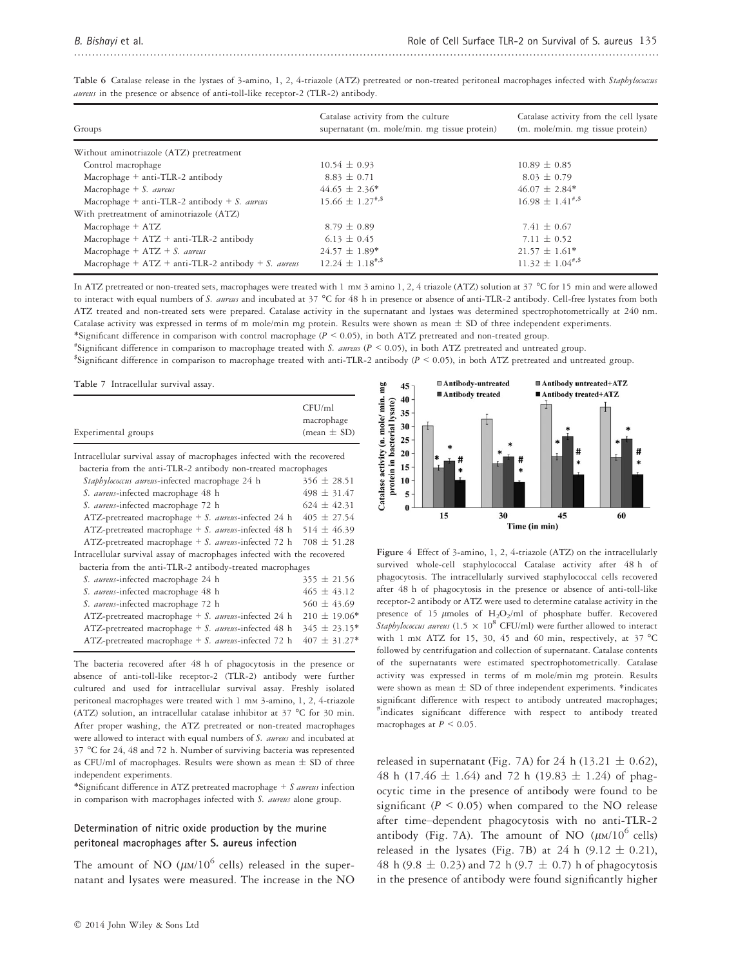| Groups                                               | Catalase activity from the culture<br>supernatant (m. mole/min. mg tissue protein) | Catalase activity from the cell lysate<br>(m. mole/min. mg tissue protein) |
|------------------------------------------------------|------------------------------------------------------------------------------------|----------------------------------------------------------------------------|
| Without aminotriazole (ATZ) pretreatment             |                                                                                    |                                                                            |
| Control macrophage                                   | $10.54 \pm 0.93$                                                                   | $10.89 \pm 0.85$                                                           |
| Macrophage $+$ anti-TLR-2 antibody                   | $8.83 \pm 0.71$                                                                    | $8.03 \pm 0.79$                                                            |
| Macrophage $+ S.$ aureus                             | $44.65 \pm 2.36^*$                                                                 | $46.07 \pm 2.84*$                                                          |
| Macrophage + anti-TLR-2 antibody + S. aureus         | $15.66 \pm 1.27$ <sup>#,\$</sup>                                                   | $16.98 \pm 1.41$ <sup>**</sup>                                             |
| With pretreatment of aminotriazole (ATZ)             |                                                                                    |                                                                            |
| Macrophage $+ ATZ$                                   | $8.79 \pm 0.89$                                                                    | $7.41 \pm 0.67$                                                            |
| Macrophage $+ ATZ + anti-TLR-2$ antibody             | $6.13 \pm 0.45$                                                                    | $7.11 \pm 0.52$                                                            |
| Macrophage + $ATZ + S$ . aureus                      | $24.57 \pm 1.89*$                                                                  | $21.57 \pm 1.61*$                                                          |
| Macrophage + $ATZ$ + anti-TLR-2 antibody + S. aureus | $12.24 \pm 1.18$ <sup>#,\$</sup>                                                   | $11.32 \pm 1.04$ <sup>#,\$</sup>                                           |

Table 6 Catalase release in the lystaes of 3-amino, 1, 2, 4-triazole (ATZ) pretreated or non-treated peritoneal macrophages infected with Staphylococcus aureus in the presence or absence of anti-toll-like receptor-2 (TLR-2) antibody.

In ATZ pretreated or non-treated sets, macrophages were treated with 1 mm 3 amino 1, 2, 4 triazole (ATZ) solution at 37 °C for 15 min and were allowed to interact with equal numbers of S. aureus and incubated at 37 °C for 48 h in presence or absence of anti-TLR-2 antibody. Cell-free lystates from both ATZ treated and non-treated sets were prepared. Catalase activity in the supernatant and lystaes was determined spectrophotometrically at 240 nm. Catalase activity was expressed in terms of m mole/min mg protein. Results were shown as mean  $\pm$  SD of three independent experiments. \*Significant difference in comparison with control macrophage (P < 0.05), in both ATZ pretreated and non-treated group.

"Significant difference in comparison to macrophage treated with S. aureus ( $P < 0.05$ ), in both ATZ pretreated and untreated group.

\$ Significant difference in comparison to macrophage treated with anti-TLR-2 antibody (P < 0.05), in both ATZ pretreated and untreated group.

Table 7 Intracellular survival assay.

| Experimental groups                                                     | CFU/ml<br>macrophage<br>$(\text{mean} \pm \text{SD})$ |
|-------------------------------------------------------------------------|-------------------------------------------------------|
| Intracellular survival assay of macrophages infected with the recovered |                                                       |
| bacteria from the anti-TLR-2 antibody non-treated macrophages           | $356 \pm 28.51$                                       |
| Staphylococcus aureus-infected macrophage 24 h                          |                                                       |
| S. aureus-infected macrophage 48 h                                      | $498 \pm 31.47$                                       |
| S. aureus-infected macrophage 72 h                                      | $624 \pm 42.31$                                       |
| ATZ-pretreated macrophage + S. aureus-infected 24 h 405 $\pm$ 27.54     |                                                       |
| ATZ-pretreated macrophage + S. aureus-infected 48 h 514 $\pm$ 46.39     |                                                       |
| ATZ-pretreated macrophage + S. aureus-infected 72 h 708 $\pm$ 51.28     |                                                       |
| Intracellular survival assay of macrophages infected with the recovered |                                                       |
| bacteria from the anti-TLR-2 antibody-treated macrophages               |                                                       |
| S. aureus-infected macrophage 24 h                                      | $355 \pm 21.56$                                       |
| S. aureus-infected macrophage 48 h                                      | $465 \pm 43.12$                                       |
| S. aureus-infected macrophage 72 h                                      | $560 \pm 43.69$                                       |
| ATZ-pretreated macrophage + S. aureus-infected 24 h                     | $210 \pm 19.06*$                                      |
| ATZ-pretreated macrophage $+ S$ . <i>aureus</i> -infected 48 h          | $345 \pm 23.15*$                                      |

The bacteria recovered after 48 h of phagocytosis in the presence or absence of anti-toll-like receptor-2 (TLR-2) antibody were further cultured and used for intracellular survival assay. Freshly isolated peritoneal macrophages were treated with 1 mm 3-amino, 1, 2, 4-triazole (ATZ) solution, an intracellular catalase inhibitor at 37 °C for 30 min. After proper washing, the ATZ pretreated or non-treated macrophages were allowed to interact with equal numbers of S. aureus and incubated at 37 °C for 24, 48 and 72 h. Number of surviving bacteria was represented as CFU/ml of macrophages. Results were shown as mean  $\pm$  SD of three independent experiments.

ATZ-pretreated macrophage + S. aureus-infected 72 h  $407 \pm 31.27$ \*

\*Significant difference in ATZ pretreated macrophage  $+ S$  aureus infection in comparison with macrophages infected with S. aureus alone group.

#### Determination of nitric oxide production by the murine peritoneal macrophages after S. aureus infection

The amount of NO ( $\mu$ M/10<sup>6</sup> cells) released in the supernatant and lysates were measured. The increase in the NO



Figure 4 Effect of 3-amino, 1, 2, 4-triazole (ATZ) on the intracellularly survived whole-cell staphylococcal Catalase activity after 48 h of phagocytosis. The intracellularly survived staphylococcal cells recovered after 48 h of phagocytosis in the presence or absence of anti-toll-like receptor-2 antibody or ATZ were used to determine catalase activity in the presence of 15  $\mu$ moles of H<sub>2</sub>O<sub>2</sub>/ml of phosphate buffer. Recovered Staphylococcus aureus (1.5  $\times$  10<sup>8</sup> CFU/ml) were further allowed to interact with 1 mm ATZ for 15, 30, 45 and 60 min, respectively, at  $37 °C$ followed by centrifugation and collection of supernatant. Catalase contents of the supernatants were estimated spectrophotometrically. Catalase activity was expressed in terms of m mole/min mg protein. Results were shown as mean  $\pm$  SD of three independent experiments. \*indicates significant difference with respect to antibody untreated macrophages; # indicates significant difference with respect to antibody treated macrophages at  $P \leq 0.05$ .

released in supernatant (Fig. 7A) for 24 h (13.21  $\pm$  0.62), 48 h (17.46  $\pm$  1.64) and 72 h (19.83  $\pm$  1.24) of phagocytic time in the presence of antibody were found to be significant ( $P < 0.05$ ) when compared to the NO release after time–dependent phagocytosis with no anti-TLR-2 antibody (Fig. 7A). The amount of NO  $(\mu M/10^6 \text{ cells})$ released in the lysates (Fig. 7B) at 24 h  $(9.12 \pm 0.21)$ , 48 h (9.8  $\pm$  0.23) and 72 h (9.7  $\pm$  0.7) h of phagocytosis in the presence of antibody were found significantly higher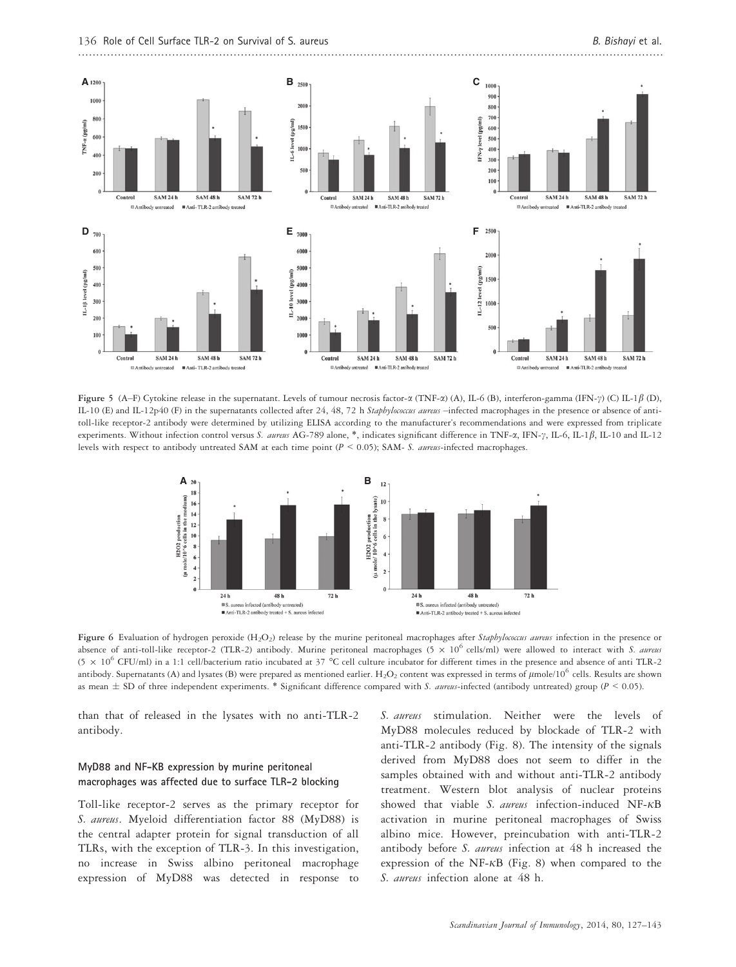

Figure 5 (A–F) Cytokine release in the supernatant. Levels of tumour necrosis factor- $\alpha$  (TNF- $\alpha$ ) (A), IL-6 (B), interferon-gamma (IFN- $\gamma$ ) (C) IL-1 $\beta$  (D), IL-10 (E) and IL-12p40 (F) in the supernatants collected after 24, 48, 72 h Staphylococcus aureus -infected macrophages in the presence or absence of antitoll-like receptor-2 antibody were determined by utilizing ELISA according to the manufacturer's recommendations and were expressed from triplicate experiments. Without infection control versus S. aureus AG-789 alone, \*, indicates significant difference in TNF-a, IFN-y, IL-6, IL-1 $\beta$ , IL-10 and IL-12 levels with respect to antibody untreated SAM at each time point ( $P < 0.05$ ); SAM- S. aureus-infected macrophages.



Figure 6 Evaluation of hydrogen peroxide (H<sub>2</sub>O<sub>2</sub>) release by the murine peritoneal macrophages after Staphylococcus aureus infection in the presence or absence of anti-toll-like receptor-2 (TLR-2) antibody. Murine peritoneal macrophages (5  $\times$  10<sup>6</sup> cells/ml) were allowed to interact with S. aureus (5  $\times$  10<sup>6</sup> CFU/ml) in a 1:1 cell/bacterium ratio incubated at 37 °C cell culture incubator for different times in the presence and absence of anti TLR-2 antibody. Supernatants (A) and lysates (B) were prepared as mentioned earlier.  $\rm H_2O_2$  content was expressed in terms of  $\mu$ mole/10 $^6$  cells. Results are shown as mean  $\pm$  SD of three independent experiments. \* Significant difference compared with S. aureus-infected (antibody untreated) group ( $P$  < 0.05).

than that of released in the lysates with no anti-TLR-2 antibody.

#### MyD88 and NF-KB expression by murine peritoneal macrophages was affected due to surface TLR-2 blocking

Toll-like receptor-2 serves as the primary receptor for S. aureus. Myeloid differentiation factor 88 (MyD88) is the central adapter protein for signal transduction of all TLRs, with the exception of TLR-3. In this investigation, no increase in Swiss albino peritoneal macrophage expression of MyD88 was detected in response to S. aureus stimulation. Neither were the levels of MyD88 molecules reduced by blockade of TLR-2 with anti-TLR-2 antibody (Fig. 8). The intensity of the signals derived from MyD88 does not seem to differ in the samples obtained with and without anti-TLR-2 antibody treatment. Western blot analysis of nuclear proteins showed that viable S. aureus infection-induced NF- $\kappa$ B activation in murine peritoneal macrophages of Swiss albino mice. However, preincubation with anti-TLR-2 antibody before S. aureus infection at 48 h increased the expression of the NF- $\kappa$ B (Fig. 8) when compared to the S. aureus infection alone at 48 h.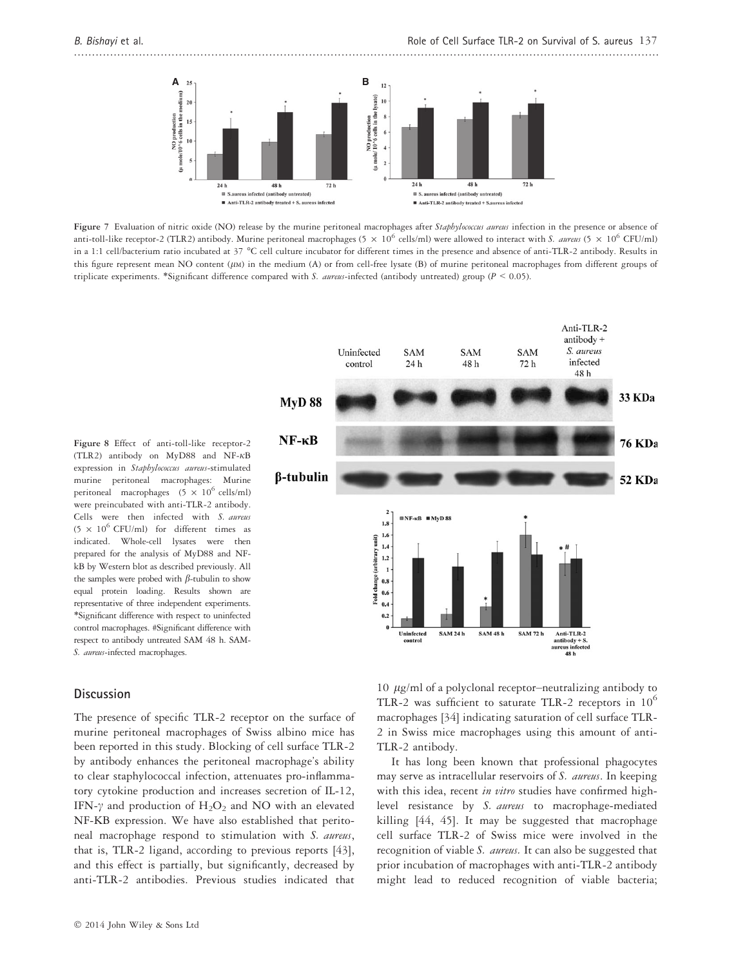..................................................................................................................................................................

Anti-TLR-2 antibody  $+$ 



Figure 7 Evaluation of nitric oxide (NO) release by the murine peritoneal macrophages after Staphylococcus aureus infection in the presence or absence of anti-toll-like receptor-2 (TLR2) antibody. Murine peritoneal macrophages (5  $\times$  10<sup>6</sup> cells/ml) were allowed to interact with S. *aureus* (5  $\times$  10<sup>6</sup> CFU/ml) in a 1:1 cell/bacterium ratio incubated at 37 °C cell culture incubator for different times in the presence and absence of anti-TLR-2 antibody. Results in this figure represent mean NO content ( $\mu$ M) in the medium (A) or from cell-free lysate (B) of murine peritoneal macrophages from different groups of triplicate experiments. \*Significant difference compared with S. aureus-infected (antibody untreated) group ( $P \le 0.05$ ).

Figure 8 Effect of anti-toll-like receptor-2 (TLR2) antibody on  $M_VD88$  and  $NF-\kappa B$ expression in Staphylococcus aureus-stimulated murine peritoneal macrophages: Murine peritoneal macrophages  $(5 \times 10^6 \text{ cells/ml})$ were preincubated with anti-TLR-2 antibody. Cells were then infected with S. aureus  $(5 \times 10^6 \text{ CFU/ml})$  for different times as indicated. Whole-cell lysates were then prepared for the analysis of MyD88 and NFkB by Western blot as described previously. All the samples were probed with  $\beta$ -tubulin to show equal protein loading. Results shown are representative of three independent experiments. \*Significant difference with respect to uninfected control macrophages. #Significant difference with respect to antibody untreated SAM 48 h. SAM-S. aureus-infected macrophages.

#### **Discussion**

The presence of specific TLR-2 receptor on the surface of murine peritoneal macrophages of Swiss albino mice has been reported in this study. Blocking of cell surface TLR-2 by antibody enhances the peritoneal macrophage's ability to clear staphylococcal infection, attenuates pro-inflammatory cytokine production and increases secretion of IL-12, IFN- $\gamma$  and production of  $H_2O_2$  and NO with an elevated NF-KB expression. We have also established that peritoneal macrophage respond to stimulation with S. aureus, that is, TLR-2 ligand, according to previous reports [43], and this effect is partially, but significantly, decreased by anti-TLR-2 antibodies. Previous studies indicated that

Uninfected **SAM SAM** S. aureus **SAM** infected control 24 h 48 h  $72h$ 48 h **33 KDa MyD 88**  $NF - \kappa B$ **76 KDa** *<u>B-tubulin</u>* 52 KDa  $N = \kappa B$  MyD 88  $1.8$  $1.6$ Fold change (arbitrary unit)  $1.4$  $1.2$  $\overline{1}$  $0.8$  $0.6$  $0.4$  $0.2$ Uninfected **SAM 24 h SAM 48 h SAM 72 h** Anti-TLR-2<br>antibody +  $S$ . contro

> 10  $\mu$ g/ml of a polyclonal receptor–neutralizing antibody to TLR-2 was sufficient to saturate TLR-2 receptors in  $10^6$ macrophages [34] indicating saturation of cell surface TLR-2 in Swiss mice macrophages using this amount of anti-TLR-2 antibody.

ureus infected<br>48 h

It has long been known that professional phagocytes may serve as intracellular reservoirs of S. *aureus*. In keeping with this idea, recent in vitro studies have confirmed highlevel resistance by S. aureus to macrophage-mediated killing [44, 45]. It may be suggested that macrophage cell surface TLR-2 of Swiss mice were involved in the recognition of viable S. *aureus*. It can also be suggested that prior incubation of macrophages with anti-TLR-2 antibody might lead to reduced recognition of viable bacteria;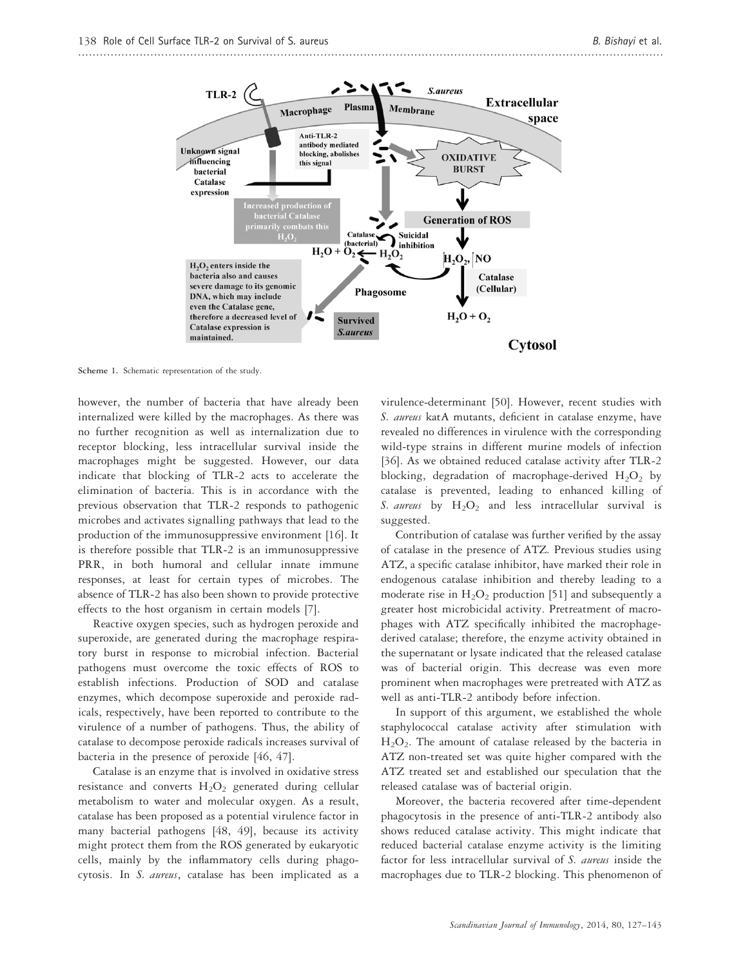

Scheme 1. Schematic representation of the study.

however, the number of bacteria that have already been internalized were killed by the macrophages. As there was no further recognition as well as internalization due to receptor blocking, less intracellular survival inside the macrophages might be suggested. However, our data indicate that blocking of TLR-2 acts to accelerate the elimination of bacteria. This is in accordance with the previous observation that TLR-2 responds to pathogenic microbes and activates signalling pathways that lead to the production of the immunosuppressive environment [16]. It is therefore possible that TLR-2 is an immunosuppressive PRR, in both humoral and cellular innate immune responses, at least for certain types of microbes. The absence of TLR-2 has also been shown to provide protective effects to the host organism in certain models [7].

Reactive oxygen species, such as hydrogen peroxide and superoxide, are generated during the macrophage respiratory burst in response to microbial infection. Bacterial pathogens must overcome the toxic effects of ROS to establish infections. Production of SOD and catalase enzymes, which decompose superoxide and peroxide radicals, respectively, have been reported to contribute to the virulence of a number of pathogens. Thus, the ability of catalase to decompose peroxide radicals increases survival of bacteria in the presence of peroxide [46, 47].

Catalase is an enzyme that is involved in oxidative stress resistance and converts  $H_2O_2$  generated during cellular metabolism to water and molecular oxygen. As a result, catalase has been proposed as a potential virulence factor in many bacterial pathogens [48, 49], because its activity might protect them from the ROS generated by eukaryotic cells, mainly by the inflammatory cells during phagocytosis. In S. aureus, catalase has been implicated as a virulence-determinant [50]. However, recent studies with S. aureus katA mutants, deficient in catalase enzyme, have revealed no differences in virulence with the corresponding wild-type strains in different murine models of infection [36]. As we obtained reduced catalase activity after TLR-2 blocking, degradation of macrophage-derived  $H_2O_2$  by catalase is prevented, leading to enhanced killing of S. aureus by  $H_2O_2$  and less intracellular survival is suggested.

Contribution of catalase was further verified by the assay of catalase in the presence of ATZ. Previous studies using ATZ, a specific catalase inhibitor, have marked their role in endogenous catalase inhibition and thereby leading to a moderate rise in  $H_2O_2$  production [51] and subsequently a greater host microbicidal activity. Pretreatment of macrophages with ATZ specifically inhibited the macrophagederived catalase; therefore, the enzyme activity obtained in the supernatant or lysate indicated that the released catalase was of bacterial origin. This decrease was even more prominent when macrophages were pretreated with ATZ as well as anti-TLR-2 antibody before infection.

In support of this argument, we established the whole staphylococcal catalase activity after stimulation with  $H<sub>2</sub>O<sub>2</sub>$ . The amount of catalase released by the bacteria in ATZ non-treated set was quite higher compared with the ATZ treated set and established our speculation that the released catalase was of bacterial origin.

Moreover, the bacteria recovered after time-dependent phagocytosis in the presence of anti-TLR-2 antibody also shows reduced catalase activity. This might indicate that reduced bacterial catalase enzyme activity is the limiting factor for less intracellular survival of S. aureus inside the macrophages due to TLR-2 blocking. This phenomenon of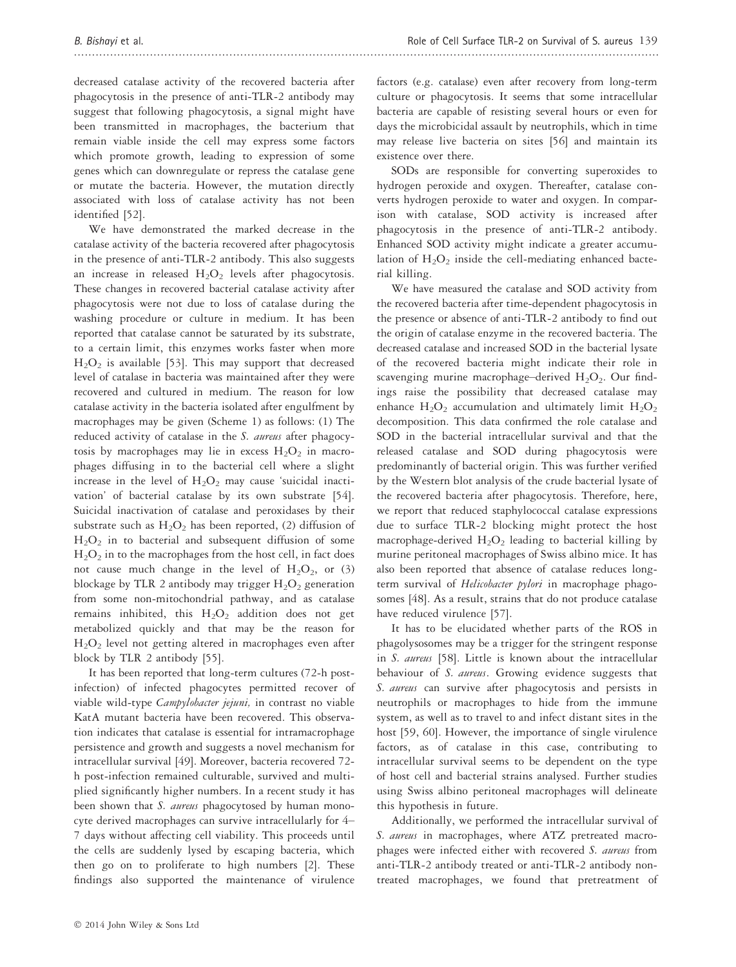decreased catalase activity of the recovered bacteria after phagocytosis in the presence of anti-TLR-2 antibody may suggest that following phagocytosis, a signal might have been transmitted in macrophages, the bacterium that remain viable inside the cell may express some factors which promote growth, leading to expression of some genes which can downregulate or repress the catalase gene or mutate the bacteria. However, the mutation directly associated with loss of catalase activity has not been identified [52].

We have demonstrated the marked decrease in the catalase activity of the bacteria recovered after phagocytosis in the presence of anti-TLR-2 antibody. This also suggests an increase in released  $H_2O_2$  levels after phagocytosis. These changes in recovered bacterial catalase activity after phagocytosis were not due to loss of catalase during the washing procedure or culture in medium. It has been reported that catalase cannot be saturated by its substrate, to a certain limit, this enzymes works faster when more  $H<sub>2</sub>O<sub>2</sub>$  is available [53]. This may support that decreased level of catalase in bacteria was maintained after they were recovered and cultured in medium. The reason for low catalase activity in the bacteria isolated after engulfment by macrophages may be given (Scheme 1) as follows: (1) The reduced activity of catalase in the S. aureus after phagocytosis by macrophages may lie in excess  $H_2O_2$  in macrophages diffusing in to the bacterial cell where a slight increase in the level of  $H_2O_2$  may cause 'suicidal inactivation' of bacterial catalase by its own substrate [54]. Suicidal inactivation of catalase and peroxidases by their substrate such as  $H_2O_2$  has been reported, (2) diffusion of  $H<sub>2</sub>O<sub>2</sub>$  in to bacterial and subsequent diffusion of some  $\rm H_2O_2$  in to the macrophages from the host cell, in fact does not cause much change in the level of  $H_2O_2$ , or (3) blockage by TLR 2 antibody may trigger  $H_2O_2$  generation from some non-mitochondrial pathway, and as catalase remains inhibited, this  $H_2O_2$  addition does not get metabolized quickly and that may be the reason for  $H<sub>2</sub>O<sub>2</sub>$  level not getting altered in macrophages even after block by TLR 2 antibody [55].

It has been reported that long-term cultures (72-h postinfection) of infected phagocytes permitted recover of viable wild-type Campylobacter jejuni, in contrast no viable KatA mutant bacteria have been recovered. This observation indicates that catalase is essential for intramacrophage persistence and growth and suggests a novel mechanism for intracellular survival [49]. Moreover, bacteria recovered 72 h post-infection remained culturable, survived and multiplied significantly higher numbers. In a recent study it has been shown that S. aureus phagocytosed by human monocyte derived macrophages can survive intracellularly for 4– 7 days without affecting cell viability. This proceeds until the cells are suddenly lysed by escaping bacteria, which then go on to proliferate to high numbers [2]. These findings also supported the maintenance of virulence factors (e.g. catalase) even after recovery from long-term culture or phagocytosis. It seems that some intracellular bacteria are capable of resisting several hours or even for days the microbicidal assault by neutrophils, which in time may release live bacteria on sites [56] and maintain its existence over there.

SODs are responsible for converting superoxides to hydrogen peroxide and oxygen. Thereafter, catalase converts hydrogen peroxide to water and oxygen. In comparison with catalase, SOD activity is increased after phagocytosis in the presence of anti-TLR-2 antibody. Enhanced SOD activity might indicate a greater accumulation of  $H_2O_2$  inside the cell-mediating enhanced bacterial killing.

We have measured the catalase and SOD activity from the recovered bacteria after time-dependent phagocytosis in the presence or absence of anti-TLR-2 antibody to find out the origin of catalase enzyme in the recovered bacteria. The decreased catalase and increased SOD in the bacterial lysate of the recovered bacteria might indicate their role in scavenging murine macrophage-derived  $H_2O_2$ . Our findings raise the possibility that decreased catalase may enhance  $H_2O_2$  accumulation and ultimately limit  $H_2O_2$ decomposition. This data confirmed the role catalase and SOD in the bacterial intracellular survival and that the released catalase and SOD during phagocytosis were predominantly of bacterial origin. This was further verified by the Western blot analysis of the crude bacterial lysate of the recovered bacteria after phagocytosis. Therefore, here, we report that reduced staphylococcal catalase expressions due to surface TLR-2 blocking might protect the host macrophage-derived  $H_2O_2$  leading to bacterial killing by murine peritoneal macrophages of Swiss albino mice. It has also been reported that absence of catalase reduces longterm survival of Helicobacter pylori in macrophage phagosomes [48]. As a result, strains that do not produce catalase have reduced virulence [57].

It has to be elucidated whether parts of the ROS in phagolysosomes may be a trigger for the stringent response in S. aureus [58]. Little is known about the intracellular behaviour of S. aureus. Growing evidence suggests that S. aureus can survive after phagocytosis and persists in neutrophils or macrophages to hide from the immune system, as well as to travel to and infect distant sites in the host [59, 60]. However, the importance of single virulence factors, as of catalase in this case, contributing to intracellular survival seems to be dependent on the type of host cell and bacterial strains analysed. Further studies using Swiss albino peritoneal macrophages will delineate this hypothesis in future.

Additionally, we performed the intracellular survival of S. aureus in macrophages, where ATZ pretreated macrophages were infected either with recovered S. aureus from anti-TLR-2 antibody treated or anti-TLR-2 antibody nontreated macrophages, we found that pretreatment of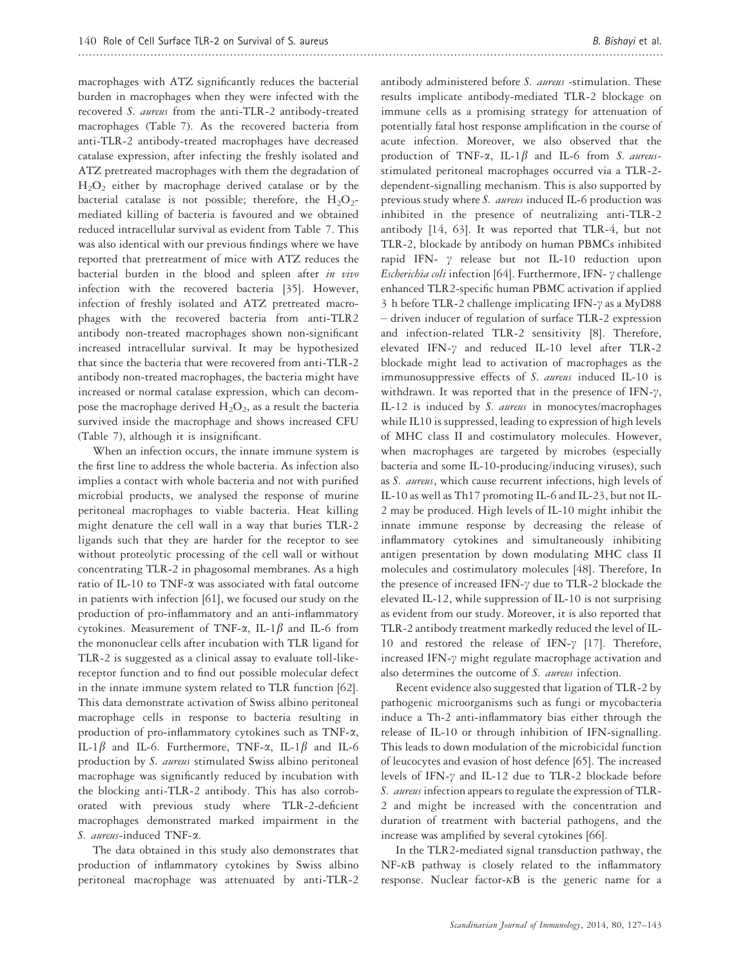macrophages with ATZ significantly reduces the bacterial burden in macrophages when they were infected with the recovered S. aureus from the anti-TLR-2 antibody-treated macrophages (Table 7). As the recovered bacteria from anti-TLR-2 antibody-treated macrophages have decreased catalase expression, after infecting the freshly isolated and ATZ pretreated macrophages with them the degradation of  $H<sub>2</sub>O<sub>2</sub>$  either by macrophage derived catalase or by the bacterial catalase is not possible; therefore, the  $H_2O_2$ mediated killing of bacteria is favoured and we obtained reduced intracellular survival as evident from Table 7. This was also identical with our previous findings where we have reported that pretreatment of mice with ATZ reduces the bacterial burden in the blood and spleen after in vivo infection with the recovered bacteria [35]. However, infection of freshly isolated and ATZ pretreated macrophages with the recovered bacteria from anti-TLR2 antibody non-treated macrophages shown non-significant increased intracellular survival. It may be hypothesized that since the bacteria that were recovered from anti-TLR-2 antibody non-treated macrophages, the bacteria might have increased or normal catalase expression, which can decompose the macrophage derived  $H_2O_2$ , as a result the bacteria survived inside the macrophage and shows increased CFU (Table 7), although it is insignificant.

When an infection occurs, the innate immune system is the first line to address the whole bacteria. As infection also implies a contact with whole bacteria and not with purified microbial products, we analysed the response of murine peritoneal macrophages to viable bacteria. Heat killing might denature the cell wall in a way that buries TLR-2 ligands such that they are harder for the receptor to see without proteolytic processing of the cell wall or without concentrating TLR-2 in phagosomal membranes. As a high ratio of IL-10 to TNF-a was associated with fatal outcome in patients with infection [61], we focused our study on the production of pro-inflammatory and an anti-inflammatory cytokines. Measurement of TNF- $\alpha$ , IL-1 $\beta$  and IL-6 from the mononuclear cells after incubation with TLR ligand for TLR-2 is suggested as a clinical assay to evaluate toll-likereceptor function and to find out possible molecular defect in the innate immune system related to TLR function [62]. This data demonstrate activation of Swiss albino peritoneal macrophage cells in response to bacteria resulting in production of pro-inflammatory cytokines such as TNF-a, IL-1 $\beta$  and IL-6. Furthermore, TNF- $\alpha$ , IL-1 $\beta$  and IL-6 production by S. aureus stimulated Swiss albino peritoneal macrophage was significantly reduced by incubation with the blocking anti-TLR-2 antibody. This has also corroborated with previous study where TLR-2-deficient macrophages demonstrated marked impairment in the S. aureus-induced TNF- $\alpha$ .

The data obtained in this study also demonstrates that production of inflammatory cytokines by Swiss albino peritoneal macrophage was attenuated by anti-TLR-2 antibody administered before S. aureus -stimulation. These results implicate antibody-mediated TLR-2 blockage on immune cells as a promising strategy for attenuation of potentially fatal host response amplification in the course of acute infection. Moreover, we also observed that the production of TNF- $\alpha$ , IL-1 $\beta$  and IL-6 from S. aureusstimulated peritoneal macrophages occurred via a TLR-2 dependent-signalling mechanism. This is also supported by previous study where S. aureus induced IL-6 production was inhibited in the presence of neutralizing anti-TLR-2 antibody [14, 63]. It was reported that TLR-4, but not TLR-2, blockade by antibody on human PBMCs inhibited rapid IFN-  $\gamma$  release but not IL-10 reduction upon Escherichia coli infection [64]. Furthermore, IFN- $\gamma$  challenge enhanced TLR2-specific human PBMC activation if applied 3 h before TLR-2 challenge implicating IFN- $\gamma$  as a MyD88 – driven inducer of regulation of surface TLR-2 expression and infection-related TLR-2 sensitivity [8]. Therefore, elevated IFN- $\gamma$  and reduced IL-10 level after TLR-2 blockade might lead to activation of macrophages as the immunosuppressive effects of S. aureus induced IL-10 is withdrawn. It was reported that in the presence of IFN- $\gamma$ , IL-12 is induced by S. aureus in monocytes/macrophages while IL10 is suppressed, leading to expression of high levels of MHC class II and costimulatory molecules. However, when macrophages are targeted by microbes (especially bacteria and some IL-10-producing/inducing viruses), such

as S. aureus, which cause recurrent infections, high levels of IL-10 as well as Th17 promoting IL-6 and IL-23, but not IL-2 may be produced. High levels of IL-10 might inhibit the innate immune response by decreasing the release of inflammatory cytokines and simultaneously inhibiting antigen presentation by down modulating MHC class II molecules and costimulatory molecules [48]. Therefore, In the presence of increased IFN- $\gamma$  due to TLR-2 blockade the elevated IL-12, while suppression of IL-10 is not surprising as evident from our study. Moreover, it is also reported that TLR-2 antibody treatment markedly reduced the level of IL-10 and restored the release of IFN- $\gamma$  [17]. Therefore, increased IFN- $\gamma$  might regulate macrophage activation and also determines the outcome of S. aureus infection.

Recent evidence also suggested that ligation of TLR-2 by pathogenic microorganisms such as fungi or mycobacteria induce a Th-2 anti-inflammatory bias either through the release of IL-10 or through inhibition of IFN-signalling. This leads to down modulation of the microbicidal function of leucocytes and evasion of host defence [65]. The increased levels of IFN- $\gamma$  and IL-12 due to TLR-2 blockade before S. *aureus* infection appears to regulate the expression of TLR-2 and might be increased with the concentration and duration of treatment with bacterial pathogens, and the increase was amplified by several cytokines [66].

In the TLR2-mediated signal transduction pathway, the  $NF-\kappa B$  pathway is closely related to the inflammatory response. Nuclear factor- $\kappa$ B is the generic name for a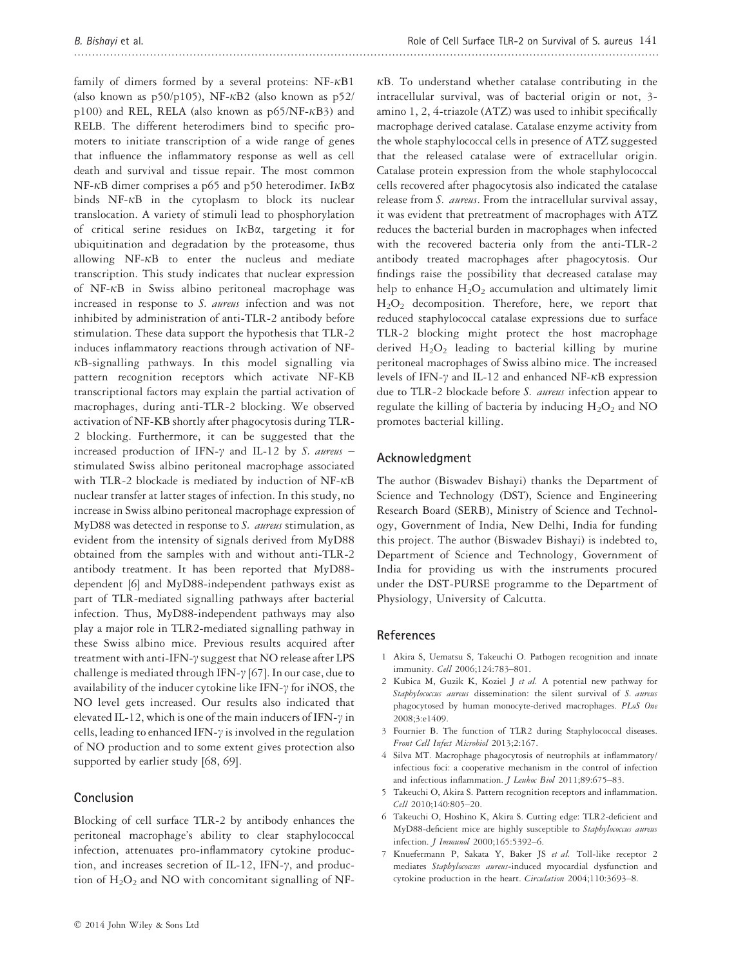family of dimers formed by a several proteins:  $NF-\kappa B1$ (also known as  $p50/p105$ ), NF- $\kappa$ B2 (also known as  $p52/$ p100) and REL, RELA (also known as  $p65/NF-\kappa B3$ ) and RELB. The different heterodimers bind to specific promoters to initiate transcription of a wide range of genes that influence the inflammatory response as well as cell death and survival and tissue repair. The most common NF- $\kappa$ B dimer comprises a p65 and p50 heterodimer. I $\kappa$ B $\alpha$ binds  $NF-\kappa B$  in the cytoplasm to block its nuclear translocation. A variety of stimuli lead to phosphorylation of critical serine residues on  $I\kappa B\alpha$ , targeting it for ubiquitination and degradation by the proteasome, thus allowing  $NF-\kappa B$  to enter the nucleus and mediate transcription. This study indicates that nuclear expression of NF- $\kappa$ B in Swiss albino peritoneal macrophage was increased in response to S. aureus infection and was not inhibited by administration of anti-TLR-2 antibody before stimulation. These data support the hypothesis that TLR-2 induces inflammatory reactions through activation of NF- $\kappa$ B-signalling pathways. In this model signalling via pattern recognition receptors which activate NF-KB transcriptional factors may explain the partial activation of macrophages, during anti-TLR-2 blocking. We observed activation of NF-KB shortly after phagocytosis during TLR-2 blocking. Furthermore, it can be suggested that the increased production of IFN- $\gamma$  and IL-12 by S. aureus – stimulated Swiss albino peritoneal macrophage associated with TLR-2 blockade is mediated by induction of  $NF-\kappa B$ nuclear transfer at latter stages of infection. In this study, no increase in Swiss albino peritoneal macrophage expression of MyD88 was detected in response to  $S$ . aureus stimulation, as evident from the intensity of signals derived from MyD88 obtained from the samples with and without anti-TLR-2 antibody treatment. It has been reported that MyD88 dependent [6] and MyD88-independent pathways exist as part of TLR-mediated signalling pathways after bacterial infection. Thus, MyD88-independent pathways may also play a major role in TLR2-mediated signalling pathway in these Swiss albino mice. Previous results acquired after treatment with anti-IFN- $\gamma$  suggest that NO release after LPS challenge is mediated through IFN- $\gamma$  [67]. In our case, due to availability of the inducer cytokine like IFN- $\gamma$  for iNOS, the NO level gets increased. Our results also indicated that elevated IL-12, which is one of the main inducers of IFN- $\gamma$  in cells, leading to enhanced IFN- $\gamma$  is involved in the regulation of NO production and to some extent gives protection also supported by earlier study [68, 69].

## Conclusion

Blocking of cell surface TLR-2 by antibody enhances the peritoneal macrophage's ability to clear staphylococcal infection, attenuates pro-inflammatory cytokine production, and increases secretion of IL-12, IFN- $\gamma$ , and production of  $H_2O_2$  and NO with concomitant signalling of NF-

 $\kappa$ B. To understand whether catalase contributing in the intracellular survival, was of bacterial origin or not, 3 amino 1, 2, 4-triazole (ATZ) was used to inhibit specifically macrophage derived catalase. Catalase enzyme activity from the whole staphylococcal cells in presence of ATZ suggested that the released catalase were of extracellular origin. Catalase protein expression from the whole staphylococcal cells recovered after phagocytosis also indicated the catalase release from S. aureus. From the intracellular survival assay, it was evident that pretreatment of macrophages with ATZ reduces the bacterial burden in macrophages when infected with the recovered bacteria only from the anti-TLR-2 antibody treated macrophages after phagocytosis. Our findings raise the possibility that decreased catalase may help to enhance  $H_2O_2$  accumulation and ultimately limit H2O<sup>2</sup> decomposition. Therefore, here, we report that reduced staphylococcal catalase expressions due to surface TLR-2 blocking might protect the host macrophage derived  $H_2O_2$  leading to bacterial killing by murine peritoneal macrophages of Swiss albino mice. The increased levels of IFN- $\gamma$  and IL-12 and enhanced NF- $\kappa$ B expression due to TLR-2 blockade before S. aureus infection appear to regulate the killing of bacteria by inducing  $H_2O_2$  and NO promotes bacterial killing.

## Acknowledgment

The author (Biswadev Bishayi) thanks the Department of Science and Technology (DST), Science and Engineering Research Board (SERB), Ministry of Science and Technology, Government of India, New Delhi, India for funding this project. The author (Biswadev Bishayi) is indebted to, Department of Science and Technology, Government of India for providing us with the instruments procured under the DST-PURSE programme to the Department of Physiology, University of Calcutta.

#### References

- 1 Akira S, Uematsu S, Takeuchi O. Pathogen recognition and innate immunity. Cell 2006;124:783–801.
- 2 Kubica M, Guzik K, Koziel J et al. A potential new pathway for Staphylococcus aureus dissemination: the silent survival of S. aureus phagocytosed by human monocyte-derived macrophages. PLoS One 2008;3:e1409.
- 3 Fournier B. The function of TLR2 during Staphylococcal diseases. Front Cell Infect Microbiol 2013;2:167.
- 4 Silva MT. Macrophage phagocytosis of neutrophils at inflammatory/ infectious foci: a cooperative mechanism in the control of infection and infectious inflammation. J Leukoc Biol 2011;89:675-83.
- 5 Takeuchi O, Akira S. Pattern recognition receptors and inflammation. Cell 2010;140:805-20.
- 6 Takeuchi O, Hoshino K, Akira S. Cutting edge: TLR2-deficient and MyD88-deficient mice are highly susceptible to Staphylococcus aureus infection. J Immunol 2000;165:5392–6.
- 7 Knuefermann P, Sakata Y, Baker JS et al. Toll-like receptor 2 mediates Staphylococcus aureus-induced myocardial dysfunction and cytokine production in the heart. Circulation 2004;110:3693–8.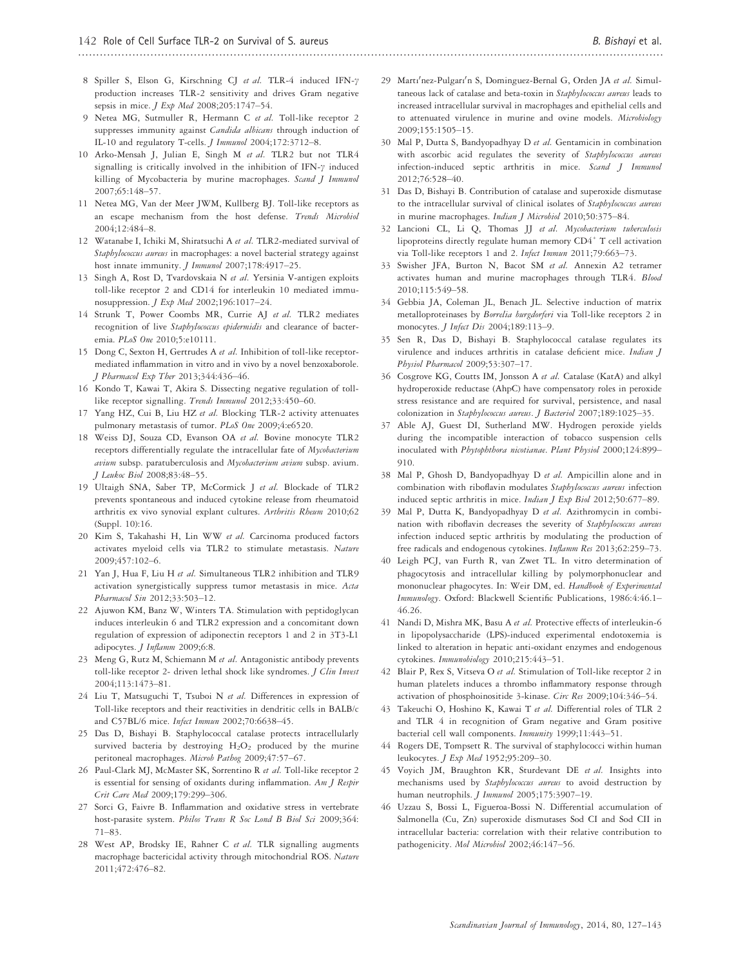- 8 Spiller S, Elson G, Kirschning CJ et al. TLR-4 induced IFN- $\gamma$ production increases TLR-2 sensitivity and drives Gram negative sepsis in mice. J Exp Med 2008;205:1747–54.
- 9 Netea MG, Sutmuller R, Hermann C et al. Toll-like receptor 2 suppresses immunity against *Candida albicans* through induction of IL-10 and regulatory T-cells. J Immunol 2004;172:3712–8.
- 10 Arko-Mensah J, Julian E, Singh M et al. TLR2 but not TLR4 signalling is critically involved in the inhibition of IFN- $\gamma$  induced killing of Mycobacteria by murine macrophages. Scand J Immunol 2007;65:148–57.
- 11 Netea MG, Van der Meer JWM, Kullberg BJ. Toll-like receptors as an escape mechanism from the host defense. Trends Microbiol 2004;12:484–8.
- 12 Watanabe I, Ichiki M, Shiratsuchi A et al. TLR2-mediated survival of Staphylococcus aureus in macrophages: a novel bacterial strategy against host innate immunity. *J Immunol* 2007;178:4917-25.
- 13 Singh A, Rost D, Tvardovskaia N et al. Yersinia V-antigen exploits toll-like receptor 2 and CD14 for interleukin 10 mediated immunosuppression. J Exp Med 2002;196:1017–24.
- 14 Strunk T, Power Coombs MR, Currie AJ et al. TLR2 mediates recognition of live Staphylococcus epidermidis and clearance of bacteremia. PLoS One 2010;5:e10111.
- 15 Dong C, Sexton H, Gertrudes A et al. Inhibition of toll-like receptormediated inflammation in vitro and in vivo by a novel benzoxaborole. J Pharmacol Exp Ther 2013;344:436–46.
- 16 Kondo T, Kawai T, Akira S. Dissecting negative regulation of tolllike receptor signalling. Trends Immunol 2012;33:450–60.
- 17 Yang HZ, Cui B, Liu HZ et al. Blocking TLR-2 activity attenuates pulmonary metastasis of tumor. PLoS One 2009;4:e6520.
- 18 Weiss DJ, Souza CD, Evanson OA et al. Bovine monocyte TLR2 receptors differentially regulate the intracellular fate of Mycobacterium avium subsp. paratuberculosis and Mycobacterium avium subsp. avium. J Leukoc Biol 2008;83:48–55.
- 19 Ultaigh SNA, Saber TP, McCormick J et al. Blockade of TLR2 prevents spontaneous and induced cytokine release from rheumatoid arthritis ex vivo synovial explant cultures. Arthritis Rheum 2010;62 (Suppl. 10):16.
- 20 Kim S, Takahashi H, Lin WW et al. Carcinoma produced factors activates myeloid cells via TLR2 to stimulate metastasis. Nature 2009;457:102–6.
- 21 Yan J, Hua F, Liu H et al. Simultaneous TLR2 inhibition and TLR9 activation synergistically suppress tumor metastasis in mice. Acta Pharmacol Sin 2012;33:503–12.
- 22 Ajuwon KM, Banz W, Winters TA. Stimulation with peptidoglycan induces interleukin 6 and TLR2 expression and a concomitant down regulation of expression of adiponectin receptors 1 and 2 in 3T3-L1 adipocytes. J Inflamm 2009;6:8.
- 23 Meng G, Rutz M, Schiemann M et al. Antagonistic antibody prevents toll-like receptor 2- driven lethal shock like syndromes. J Clin Invest 2004;113:1473–81.
- 24 Liu T, Matsuguchi T, Tsuboi N et al. Differences in expression of Toll-like receptors and their reactivities in dendritic cells in BALB/c and C57BL/6 mice. Infect Immun 2002;70:6638–45.
- 25 Das D, Bishayi B. Staphylococcal catalase protects intracellularly survived bacteria by destroying  $H_2O_2$  produced by the murine peritoneal macrophages. Microb Pathog 2009;47:57–67.
- 26 Paul-Clark MJ, McMaster SK, Sorrentino R et al. Toll-like receptor 2 is essential for sensing of oxidants during inflammation. Am  $J$  Respir Crit Care Med 2009;179:299–306.
- 27 Sorci G, Faivre B. Inflammation and oxidative stress in vertebrate host-parasite system. Philos Trans R Soc Lond B Biol Sci 2009;364: 71–83.
- West AP, Brodsky IE, Rahner C et al. TLR signalling augments macrophage bactericidal activity through mitochondrial ROS. Nature 2011;472:476–82.
- 29 Martı'nez-Pulgarı'n S, Dominguez-Bernal G, Orden JA et al. Simultaneous lack of catalase and beta-toxin in Staphylococcus aureus leads to increased intracellular survival in macrophages and epithelial cells and to attenuated virulence in murine and ovine models. Microbiology 2009;155:1505–15.
- 30 Mal P, Dutta S, Bandyopadhyay D et al. Gentamicin in combination with ascorbic acid regulates the severity of Staphylococcus aureus infection-induced septic arthritis in mice. Scand J Immunol 2012;76:528–40.
- 31 Das D, Bishayi B. Contribution of catalase and superoxide dismutase to the intracellular survival of clinical isolates of Staphylococcus aureus in murine macrophages. Indian J Microbiol 2010;50:375–84.
- 32 Lancioni CL, Li Q, Thomas JJ et al. Mycobacterium tuberculosis lipoproteins directly regulate human memory CD4<sup>+</sup> T cell activation via Toll-like receptors 1 and 2. Infect Immun 2011;79:663-73.
- 33 Swisher JFA, Burton N, Bacot SM et al. Annexin A2 tetramer activates human and murine macrophages through TLR4. Blood 2010;115:549–58.
- 34 Gebbia JA, Coleman JL, Benach JL. Selective induction of matrix metalloproteinases by Borrelia burgdorferi via Toll-like receptors 2 in monocytes. J Infect Dis 2004;189:113-9.
- 35 Sen R, Das D, Bishayi B. Staphylococcal catalase regulates its virulence and induces arthritis in catalase deficient mice. Indian J Physiol Pharmacol 2009;53:307-17.
- 36 Cosgrove KG, Coutts IM, Jonsson A et al. Catalase (KatA) and alkyl hydroperoxide reductase (AhpC) have compensatory roles in peroxide stress resistance and are required for survival, persistence, and nasal colonization in Staphylococcus aureus. J Bacteriol 2007;189:1025-35.
- 37 Able AJ, Guest DI, Sutherland MW. Hydrogen peroxide yields during the incompatible interaction of tobacco suspension cells inoculated with Phytophthora nicotianae. Plant Physiol 2000;124:899– 910.
- 38 Mal P, Ghosh D, Bandyopadhyay D et al. Ampicillin alone and in combination with riboflavin modulates Staphylococcus aureus infection induced septic arthritis in mice. Indian J Exp Biol 2012;50:677–89.
- 39 Mal P, Dutta K, Bandyopadhyay D et al. Azithromycin in combination with riboflavin decreases the severity of Staphylococcus aureus infection induced septic arthritis by modulating the production of free radicals and endogenous cytokines. Inflamm Res 2013;62:259–73.
- 40 Leigh PCJ, van Furth R, van Zwet TL. In vitro determination of phagocytosis and intracellular killing by polymorphonuclear and mononuclear phagocytes. In: Weir DM, ed. Handbook of Experimental Immunology. Oxford: Blackwell Scientific Publications, 1986:4:46.1– 46.26.
- 41 Nandi D, Mishra MK, Basu A et al. Protective effects of interleukin-6 in lipopolysaccharide (LPS)-induced experimental endotoxemia is linked to alteration in hepatic anti-oxidant enzymes and endogenous cytokines. Immunobiology 2010;215:443-51.
- 42 Blair P, Rex S, Vitseva O et al. Stimulation of Toll-like receptor 2 in human platelets induces a thrombo inflammatory response through activation of phosphoinositide 3-kinase. Circ Res 2009;104:346–54.
- 43 Takeuchi O, Hoshino K, Kawai T et al. Differential roles of TLR 2 and TLR 4 in recognition of Gram negative and Gram positive bacterial cell wall components. Immunity 1999;11:443–51.
- 44 Rogers DE, Tompsett R. The survival of staphylococci within human leukocytes. J Exp Med 1952;95:209–30.
- 45 Voyich JM, Braughton KR, Sturdevant DE et al. Insights into mechanisms used by Staphylococcus aureus to avoid destruction by human neutrophils. J Immunol 2005;175:3907–19.
- 46 Uzzau S, Bossi L, Figueroa-Bossi N. Differential accumulation of Salmonella (Cu, Zn) superoxide dismutases Sod CI and Sod CII in intracellular bacteria: correlation with their relative contribution to pathogenicity. Mol Microbiol 2002;46:147–56.